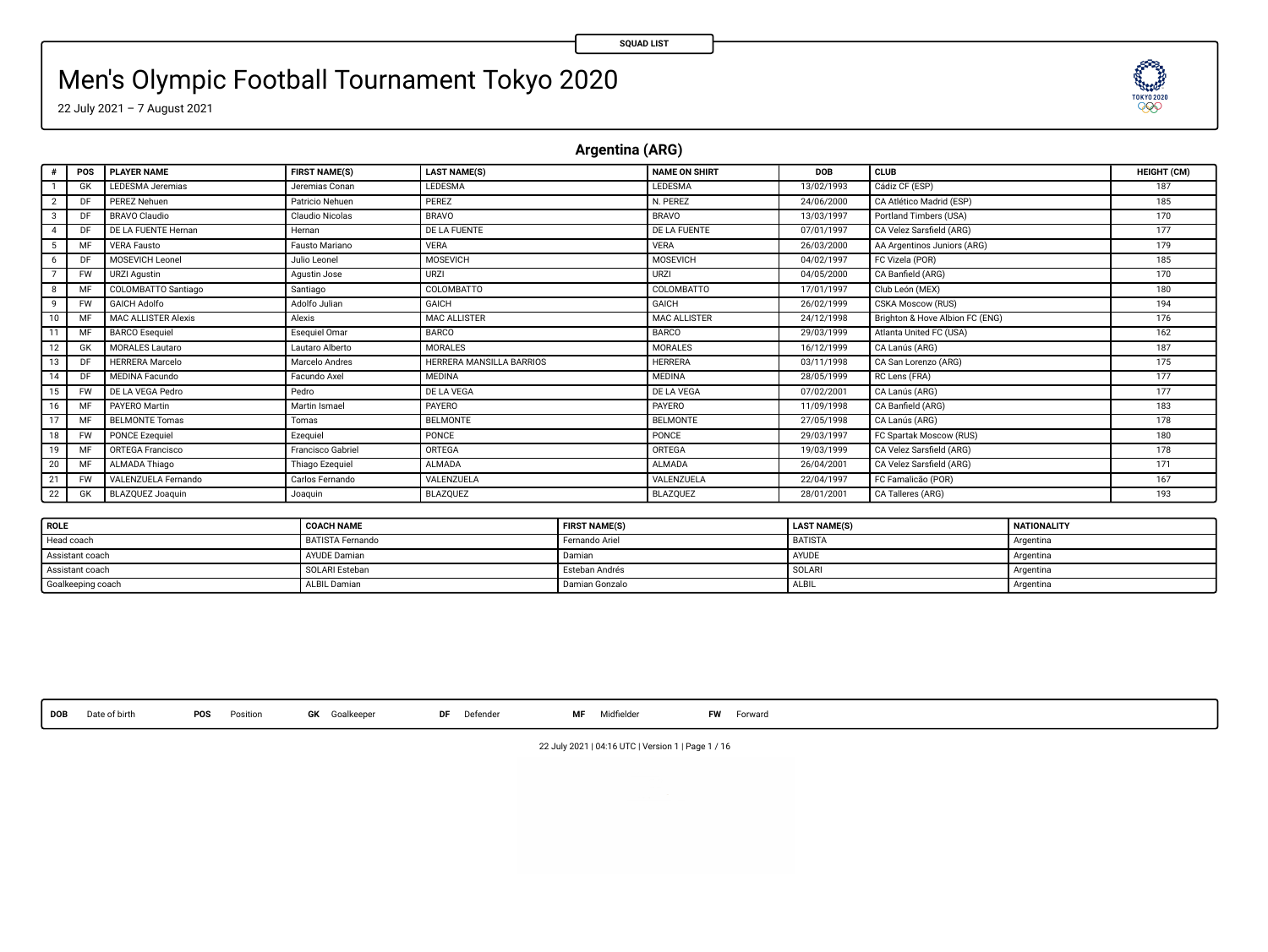83

# Men's Olympic Football Tournament Tokyo 2020

22 July 2021 – 7 August 2021

**Argentina (ARG)**

|                | POS       | <b>PLAYER NAME</b>         | <b>FIRST NAME(S)</b> | <b>LAST NAME(S)</b>      | NAME ON SHIRT       | DOB        | <b>CLUB</b>                     | HEIGHT (CM) |
|----------------|-----------|----------------------------|----------------------|--------------------------|---------------------|------------|---------------------------------|-------------|
|                | GK        | <b>LEDESMA</b> Jeremias    | Jeremias Conan       | LEDESMA                  | LEDESMA             | 13/02/1993 | Cádiz CF (ESP)                  | 187         |
| $\overline{ }$ | DF        | PEREZ Nehuen               | Patricio Nebuen      | PERE7                    | N. PEREZ            | 24/06/2000 | CA Atlético Madrid (ESP)        | 185         |
|                | Ð         | <b>BRAVO Claudio</b>       | Claudio Nicolas      | <b>BRAVO</b>             | <b>BRAVO</b>        | 13/03/1997 | Portland Timbers (USA)          | 170         |
|                | DF        | DE LA FLIENTE Hernan       | Hernan               | DE LA FUENTE             | DE LA FUENTE        | 07/01/1997 | CA Velez Sarsfield (ARG)        | 177         |
| 5              | MF        | <b>VERA Fausto</b>         | Fausto Mariano       | <b>VERA</b>              | <b>VERA</b>         | 26/03/2000 | AA Argentinos Juniors (ARG)     | 179         |
| 6              | Ð         | MOSEVICH Leonel            | Julio Leonel         | <b>MOSEVICH</b>          | MOSEVICH            | 04/02/1997 | FC Vizela (POR)                 | 185         |
|                | <b>FW</b> | URZI Agustin               | Agustin Jose         | URZI                     | <b>URZI</b>         | 04/05/2000 | CA Banfield (ARG)               | 170         |
|                | M         | COLOMBATTO Santiago        | Santiago             | COLOMBATTO               | COLOMBATTO          | 17/01/1997 | Club León (MEX)                 | 180         |
| $\ddot{q}$     | <b>FW</b> | <b>GAICH Adolfo</b>        | Adolfo Julian        | <b>GAICH</b>             | GAICH               | 26/02/1999 | CSKA Moscow (RUS)               | 194         |
| 10             | MF        | <b>MAC ALLISTER Alexis</b> | Alexis               | <b>MAC ALLISTER</b>      | <b>MAC ALLISTER</b> | 24/12/1998 | Brighton & Hove Albion FC (ENG) | 176         |
|                | MF        | <b>BARCO</b> Esequiel      | Esequiel Omar        | <b>BARCO</b>             | <b>BARCO</b>        | 29/03/1999 | Atlanta United FC (USA)         | 162         |
| 12             | GK        | <b>MORALES Lautaro</b>     | Lautaro Alberto      | <b>MORALES</b>           | <b>MORALES</b>      | 16/12/1999 | CA Lanús (ARG)                  | 187         |
|                | DI        | <b>HERRERA</b> Marcelo     | Marcelo Andres       | HERRERA MANSILLA BARRIOS | <b>HERRERA</b>      | 03/11/1998 | CA San Lorenzo (ARG)            | 175         |
| 14             | D         | <b>MEDINA Facundo</b>      | Facundo Axel         | <b>MEDINA</b>            | <b>MEDINA</b>       | 28/05/1999 | RC Lens (FRA)                   | 177         |
| 15             | <b>FW</b> | DE LA VEGA Pedro           | Pedro                | DE LA VEGA               | DE LA VEGA          | 07/02/2001 | CA Lanús (ARG)                  | 177         |
| 16             | MF        | PAYERO Martin              | Martin Ismael        | PAYERO                   | PAYERO              | 11/09/1998 | CA Banfield (ARG)               | 183         |
|                | MF        | <b>BELMONTE Tomas</b>      | Tomas                | <b>BELMONTE</b>          | <b>BELMONTE</b>     | 27/05/1998 | CA Lanús (ARG)                  | 178         |
| 18             | <b>FW</b> | <b>PONCE Ezequiel</b>      | Ezequiel             | PONCE                    | PONCE               | 29/03/1997 | FC Spartak Moscow (RUS)         | 180         |
| 19             | MF        | <b>ORTEGA</b> Francisco    | Francisco Gabriel    | ORTEGA                   | ORTEGA              | 19/03/1999 | CA Velez Sarsfield (ARG)        | 178         |
| 20             | MF        | ALMADA Thiago              | Thiago Ezequiel      | <b>ALMADA</b>            | <b>ALMADA</b>       | 26/04/2001 | CA Velez Sarsfield (ARG)        | 171         |
| 21             | <b>FW</b> | VALENZUELA Fernando        | Carlos Fernando      | VALENZUELA               | VALENZUELA          | 22/04/1997 | FC Famalicão (POR)              | 167         |
| 22             | GK        | <b>BLAZOUEZ Joaquin</b>    | Joaquin              | <b>BLAZOUEZ</b>          | <b>BLAZOUEZ</b>     | 28/01/2001 | CA Talleres (ARG)               | 193         |

| <b>ROLE</b>       | <b>COACH NAME</b> | <b>FIRST NAME(S)</b> | <b>LAST NAME(S)</b> | <b>NATIONALITY</b> |
|-------------------|-------------------|----------------------|---------------------|--------------------|
| Head coach        | BATISTA Fernando  | Fernando Ariel       | BATISTA             | Argentina          |
| Assistant coach   | AYUDE Damian      | Damian               | AYUDE               | Argentina          |
| Assistant coach   | SOLARI Esteban    | Esteban Andrés       | SOLARI              | Argentina          |
| Goalkeeping coach | ALBIL Damian      | Damian Gonzalo       | ALBIL               | Argentina          |

**DOB** Date of birth **POS** Position **GK** Goalkeeper **DF** Defender **MF** Midelder **FW** Forward

22 July 2021 | 04:16 UTC | Version 1 | Page 1 / 16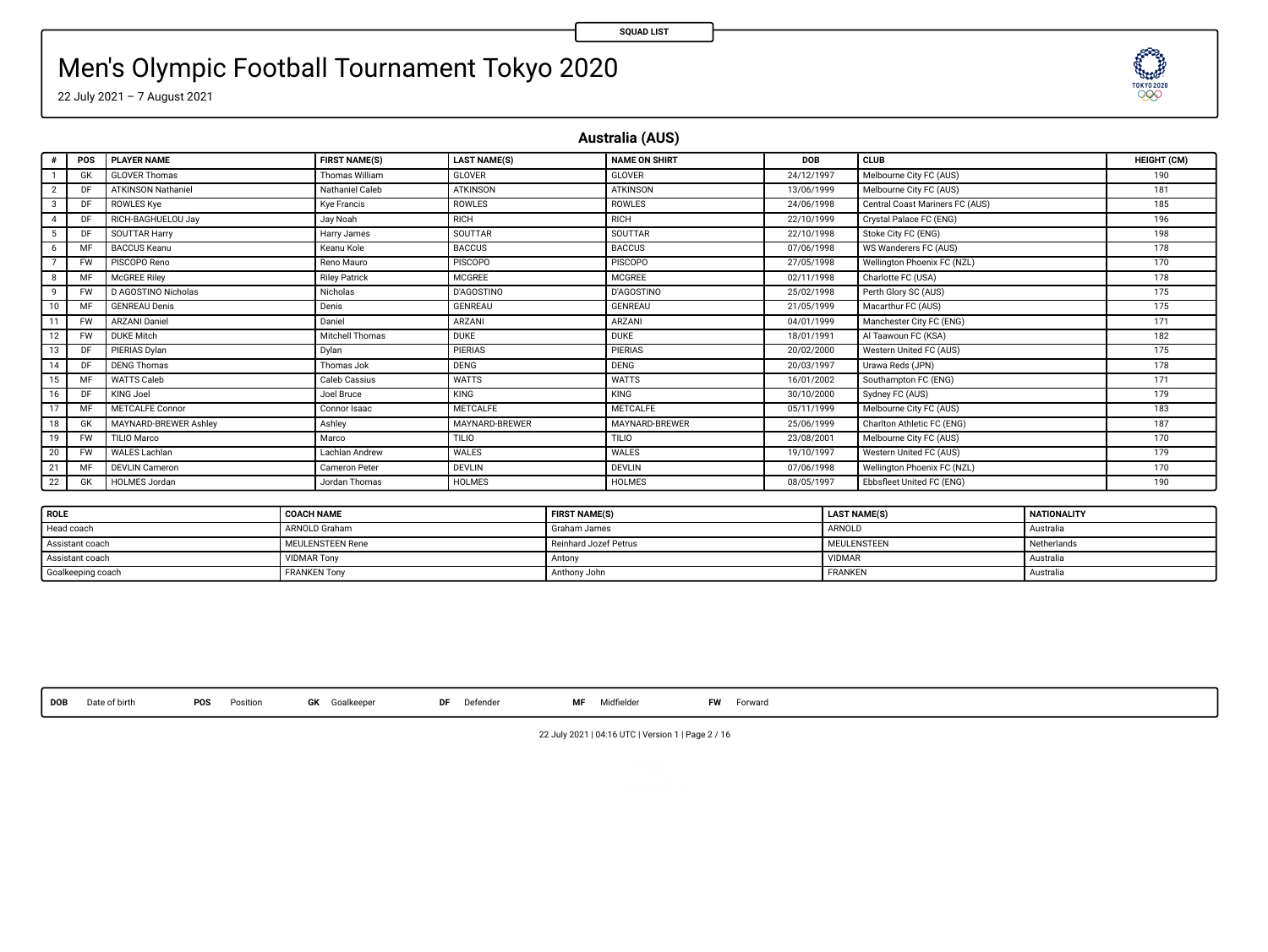**SEED!** 

# Men's Olympic Football Tournament Tokyo 2020

22 July 2021 – 7 August 2021

**Australia (AUS)**

| ٠  | POS       | <b>PLAYER NAME</b>        | <b>FIRST NAME(S)</b> | <b>LAST NAME(S)</b> | <b>NAME ON SHIRT</b> | <b>DOB</b> | CLUB                            | HEIGHT (CM) |
|----|-----------|---------------------------|----------------------|---------------------|----------------------|------------|---------------------------------|-------------|
|    | GK        | <b>GLOVER Thomas</b>      | Thomas William       | GLOVER              | GLOVER               | 24/12/1997 | Melbourne City FC (AUS)         | 190         |
|    |           | <b>ATKINSON Nathaniel</b> | Nathaniel Caleb      | <b>ATKINSON</b>     | <b>ATKINSON</b>      | 13/06/1999 | Melbourne City FC (AUS)         | 181         |
| 3  | DF        | <b>ROWLES Kye</b>         | Kve Francis          | ROWLES              | ROWLES               | 24/06/1998 | Central Coast Mariners FC (AUS) | 185         |
| 4  | DF        | RICH-BAGHUELOU Jav        | Jay Noah             | RICH                | RICH                 | 22/10/1999 | Crystal Palace FC (ENG)         | 196         |
| 5  | DF        | SOUTTAR Harry             | Harry James          | <b>SOUTTAR</b>      | SOUTTAR              | 22/10/1998 | Stoke City FC (ENG)             | 198         |
| 6  |           | <b>BACCUS Keanu</b>       | Keanu Kole           | <b>BACCUS</b>       | <b>BACCUS</b>        | 07/06/1998 | WS Wanderers FC (AUS)           | 178         |
|    | <b>FW</b> | PISCOPO Reno              | Reno Mauro           | <b>PISCOPO</b>      | <b>PISCOPO</b>       | 27/05/1998 | Wellington Phoenix FC (NZL)     | 170         |
| 8  |           | McGREE Riley              | <b>Riley Patrick</b> | <b>MCGREE</b>       | MCGREE               | 02/11/1998 | Charlotte FC (USA)              | 178         |
| 9  | <b>FW</b> | D AGOSTINO Nicholas       | Nicholas             | <b>D'AGOSTINO</b>   | <b>D'AGOSTINO</b>    | 25/02/1998 | Perth Glory SC (AUS)            | 175         |
| 10 |           | <b>GENREAU Denis</b>      | Denis                | <b>GENREAU</b>      | GENREAU              | 21/05/1999 | Macarthur FC (AUS)              | 175         |
| 11 | <b>FW</b> | <b>ARZANI Daniel</b>      | Daniel               | ARZANI              | ARZANI               | 04/01/1999 | Manchester City FC (ENG)        | 171         |
| 12 | <b>FW</b> | <b>DUKE Mitch</b>         | Mitchell Thomas      | <b>DUKE</b>         | <b>DUKE</b>          | 18/01/1991 | Al Taawoun FC (KSA)             | 182         |
| 13 | DF        | PIERIAS Dylan             | Dylan                | <b>PIERIAS</b>      | <b>PIERIAS</b>       | 20/02/2000 | Western United FC (AUS)         | 175         |
| 14 | DF        | <b>DENG Thomas</b>        | Thomas Jok           | <b>DENG</b>         | <b>DENG</b>          | 20/03/1997 | Urawa Reds (JPN)                | 178         |
| 15 | MF        | WATTS Caleb               | Caleb Cassius        | <b>WATTS</b>        | <b>WATTS</b>         | 16/01/2002 | Southampton FC (ENG)            | 171         |
| 16 | DF        | KING Joel                 | Joel Bruce           | KING                | KING                 | 30/10/2000 | Sydney FC (AUS)                 | 179         |
| 17 | MF        | METCALFE Connor           | Connor Isaac         | <b>METCALFE</b>     | <b>METCALFE</b>      | 05/11/1999 | Melbourne City FC (AUS)         | 183         |
| 18 | GK        | MAYNARD-BREWER Ashley     | Ashley               | MAYNARD-BREWER      | MAYNARD-BREWER       | 25/06/1999 | Charlton Athletic FC (ENG)      | 187         |
| 19 | <b>FW</b> | TILIO Marco               | Marco                | <b>TILIO</b>        | <b>TILIO</b>         | 23/08/2001 | Melbourne City FC (AUS)         | 170         |
| 20 | <b>FW</b> | WALES Lachlan             | Lachlan Andrew       | WALES               | WALES                | 19/10/1997 | Western United FC (AUS)         | 179         |
| 21 | MF        | <b>DEVLIN Cameron</b>     | <b>Cameron Peter</b> | <b>DEVLIN</b>       | <b>DEVLIN</b>        | 07/06/1998 | Wellington Phoenix FC (NZL)     | 170         |
| 22 | GK        | <b>HOLMES Jordan</b>      | Jordan Thomas        | <b>HOLMES</b>       | <b>HOLMES</b>        | 08/05/1997 | Ebbsfleet United FC (ENG)       | 190         |

| <b>ROLE</b>       | <b>COACH NAME</b>       | <b>FIRST NAME(S)</b>  | <b>LAST NAME(S)</b> | <b>NATIONALITY</b> |
|-------------------|-------------------------|-----------------------|---------------------|--------------------|
| Head coach        | ARNOLD Graham           | Graham James          | ARNOLD              | Australia          |
| Assistant coach   | <b>MEULENSTEEN Rene</b> | Reinhard Jozef Petrus | <b>MEULENSTEEN</b>  | Netherlands        |
| Assistant coach   | <b>VIDMAR Tony</b>      | Antony                | VIDMAR              | Australia          |
| Goalkeeping coach | <b>FRANKEN Tony</b>     | Anthony John          | <b>FRANKEN</b>      | Australia          |

**DOB** Date of birth **POS** Position **GK** Goalkeeper **DF** Defender **MF** Midelder **FW** Forward

22 July 2021 | 04:16 UTC | Version 1 | Page 2 / 16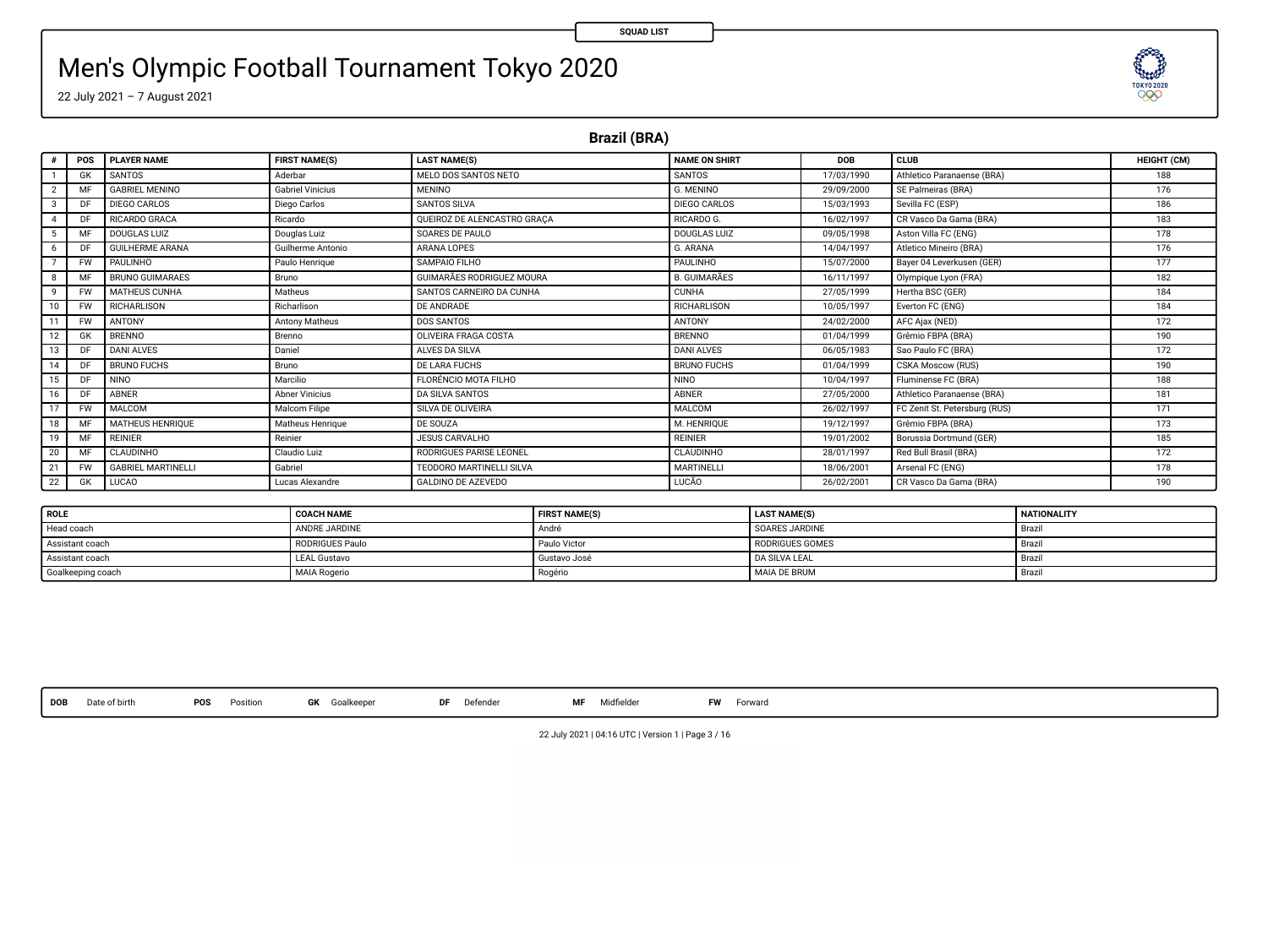# Men's Olympic Football Tournament Tokyo 2020

22 July 2021 – 7 August 2021

**Brazil (BRA)**

|               | POS       | <b>PI AYER NAME</b>       | <b>FIRST NAME(S)</b>    | <b>LAST NAME(S)</b>         | <b>NAME ON SHIRT</b> | DOR        | CLUB                          | HEIGHT (CM) |
|---------------|-----------|---------------------------|-------------------------|-----------------------------|----------------------|------------|-------------------------------|-------------|
|               | GK        | SANTOS                    | Aderbar                 | MELO DOS SANTOS NETO        | SANTOS               | 17/03/1990 | Athletico Paranaense (BRA)    | 188         |
| 2             | MF        | <b>GABRIEL MENINO</b>     | <b>Gabriel Vinicius</b> | <b>MENINO</b>               | G. MENINO            | 29/09/2000 | SE Palmeiras (BRA)            | 176         |
| $\mathcal{R}$ | DF        | DIEGO CARLOS              | Diego Carlos            | SANTOS SILVA                | DIEGO CARLOS         | 15/03/1993 | Sevilla FC (ESP)              | 186         |
|               | DF        | RICARDO GRACA             | Ricardo                 | OUEIROZ DE ALENCASTRO GRACA | RICARDO G.           | 16/02/1997 | CR Vasco Da Gama (BRA)        | 183         |
|               | M         | DOUGLAS LUIZ              | Douglas Luiz            | SOARES DE PAULO             | DOUGLAS LUIZ         | 09/05/1998 | Aston Villa FC (ENG)          | 178         |
| 6             | D.        | <b>GUILHERME ARANA</b>    | Guilherme Antonio       | ARANA LOPES                 | G. ARANA             | 14/04/1997 | Atletico Mineiro (BRA)        | 176         |
|               | <b>FW</b> | PAULINHO                  | Paulo Henrique          | SAMPAIO FILHO               | <b>PAULINHO</b>      | 15/07/2000 | Bayer 04 Leverkusen (GER)     | 177         |
| $\mathbf{R}$  | M         | <b>BRUNO GUIMARAES</b>    | Bruno                   | GUIMARÃES RODRIGUEZ MOURA   | <b>B. GUIMARÃES</b>  | 16/11/1997 | Olympique Lyon (FRA)          | 182         |
| $\ddot{q}$    | <b>FW</b> | MATHEUS CUNHA             | Matheus                 | SANTOS CARNEIRO DA CUNHA    | <b>CUNHA</b>         | 27/05/1999 | Hertha BSC (GER)              | 184         |
|               | <b>FW</b> | <b>RICHARLISON</b>        | Richarlison             | DE ANDRADE                  | RICHARLISON          | 10/05/1997 | Everton FC (ENG)              | 184         |
| 11            | <b>FW</b> | ANTONY                    | Antony Matheus          | DOS SANTOS                  | ANTONY               | 24/02/2000 | AFC Ajax (NED)                | 172         |
| 12            | GK        | BRENNO                    | Brenno                  | OLIVEIRA FRAGA COSTA        | BRENNO               | 01/04/1999 | Grêmio FBPA (BRA)             | 190         |
| 13            | DF        | <b>DANI ALVES</b>         | Daniel                  | ALVES DA SILVA              | <b>DANI ALVES</b>    | 06/05/1983 | Sao Paulo FC (BRA)            | 172         |
| 14            | DF        | <b>BRUNO FUCHS</b>        | Bruno                   | DE LARA FUCHS               | <b>BRUNO FUCHS</b>   | 01/04/1999 | CSKA Moscow (RUS)             | 190         |
| 15            | DF        | <b>NINO</b>               | Marcilio                | FLORÉNCIO MOTA FILHO        | <b>NINO</b>          | 10/04/1997 | Fluminense FC (BRA)           | 188         |
| 16            | n         | <b>ABNER</b>              | <b>Abner Vinicius</b>   | <b>DA SILVA SANTOS</b>      | <b>ABNER</b>         | 27/05/2000 | Athletico Paranaense (BRA)    | 181         |
| 17            | <b>FW</b> | MALCOM                    | Malcom Filipe           | SILVA DE OLIVEIRA           | MALCOM               | 26/02/1997 | FC Zenit St. Petersburg (RUS) | 171         |
| 18            | M         | MATHEUS HENRIOUE          | Matheus Henrique        | DE SOUZA                    | M. HENRIOUE          | 19/12/1997 | Grêmio FBPA (BRA)             | 173         |
| 19            | MF        | <b>REINIER</b>            | Reinier                 | <b>JESUS CARVALHO</b>       | <b>REINIER</b>       | 19/01/2002 | Borussia Dortmund (GER)       | 185         |
| 20            | MF        | CLAUDINHO                 | Claudio Luiz            | RODRIGUES PARISE LEONEL     | <b>CLAUDINHO</b>     | 28/01/1997 | Red Bull Brasil (BRA)         | 172         |
| 21            | $-w$      | <b>GABRIEL MARTINELLI</b> | Gabriel                 | TEODORO MARTINELLI SILVA    | MARTINELLI           | 18/06/2001 | Arsenal FC (ENG)              | 178         |
| 22            | GK        | LUCAO                     | Lucas Alexandre         | <b>GALDINO DE AZEVEDO</b>   | LUCÃO                | 26/02/2001 | CR Vasco Da Gama (BRA)        | 190         |

| <b>ROLE</b>       | <b>COACH NAME</b>      | <b>FIRST NAME(S)</b> | <b>LAST NAME(S)</b>   | NATIONALITY |
|-------------------|------------------------|----------------------|-----------------------|-------------|
| Head coach        | ANDRE JARDINE          | Andre                | <b>SOARES JARDINE</b> | · Brazil    |
| Assistant coach   | <b>RODRIGUES Paulo</b> | Paulo Victor         | RODRIGUES GOMES       | I Brazil    |
| Assistant coach   | <b>LEAL Gustavo</b>    | Gustavo José         | <b>DA SILVA LEAL</b>  | Brazil      |
| Goalkeeping coach | <b>MAIA Rogerio</b>    | Rogéria              | MAIA DE BRUM          | · Brazi-    |

**DOB** Date of birth **POS** Position **GK** Goalkeeper **DF** Defender **MF** Midelder **FW** Forward

22 July 2021 | 04:16 UTC | Version 1 | Page 3 / 16

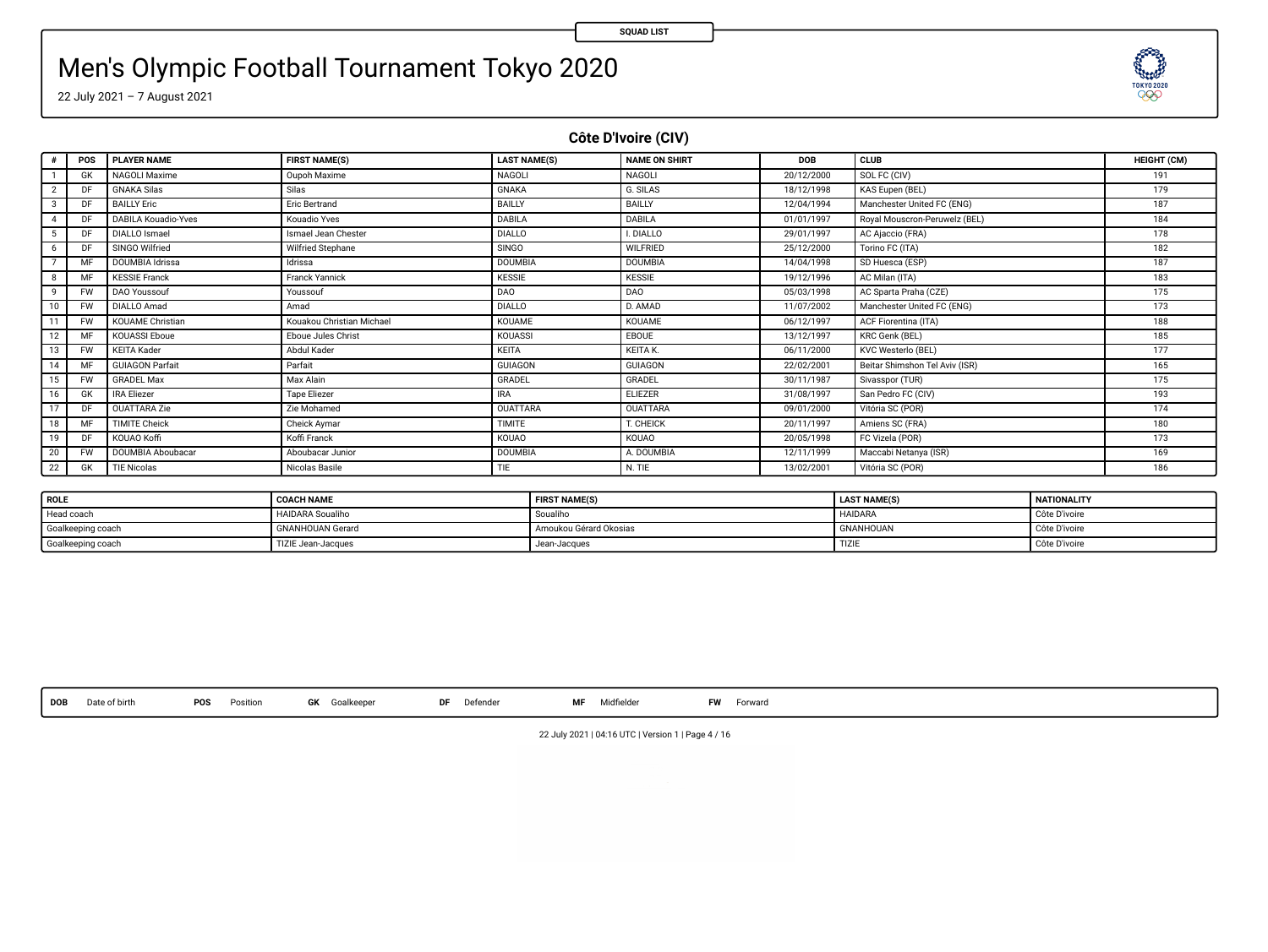**TESTORY** 

# Men's Olympic Football Tournament Tokyo 2020

22 July 2021 – 7 August 2021

**Côte D'Ivoire (CIV)**

| ٠                       | POS       | <b>PLAYER NAME</b>         | <b>FIRST NAME(S)</b>      | <b>LAST NAME(S)</b> | <b>NAME ON SHIRT</b> | <b>DOB</b> | CLUB                           | HEIGHT (CM) |
|-------------------------|-----------|----------------------------|---------------------------|---------------------|----------------------|------------|--------------------------------|-------------|
|                         | <b>GK</b> | NAGOLI Maxime              | Oupoh Maxime              | <b>NAGOLI</b>       | <b>NAGOLI</b>        | 20/12/2000 | SOL FC (CIV)                   | 191         |
| $\overline{\mathbf{2}}$ | DF        | <b>GNAKA Silas</b>         | Silas                     | <b>GNAKA</b>        | G. SILAS             | 18/12/1998 | KAS Eupen (BEL)                | 179         |
| 3                       | DF        | <b>BAILLY Eric</b>         | Eric Bertrand             | BAILLY              | BAILLY               | 12/04/1994 | Manchester United FC (ENG)     | 187         |
| 4                       | DF        | <b>DABILA Kouadio-Yves</b> | Kouadio Yves              | DABILA              | DABILA               | 01/01/1997 | Royal Mouscron-Peruwelz (BEL)  | 184         |
| 5                       | DF        | <b>DIALLO</b> Ismael       | Ismael Jean Chester       | <b>DIALLO</b>       | I. DIALLO            | 29/01/1997 | AC Ajaccio (FRA)               | 178         |
| 6                       | DF        | SINGO Wilfried             | Wilfried Stephane         | <b>SINGO</b>        | <b>WILFRIED</b>      | 25/12/2000 | Torino FC (ITA)                | 182         |
|                         | MF        | DOUMBIA Idrissa            | Idrissa                   | <b>DOUMBIA</b>      | <b>DOUMBIA</b>       | 14/04/1998 | SD Huesca (ESP)                | 187         |
| 8                       | MF        | <b>KESSIE Franck</b>       | Franck Yannick            | <b>KESSIE</b>       | <b>KESSIE</b>        | 19/12/1996 | AC Milan (ITA)                 | 183         |
| 9                       | <b>FW</b> | DAO Youssouf               | Youssouf                  | DAO                 | DAO                  | 05/03/1998 | AC Sparta Praha (CZE)          | 175         |
| 10                      | <b>FW</b> | <b>DIALLO Amad</b>         | Amad                      | <b>DIALLO</b>       | D. AMAD              | 11/07/2002 | Manchester United FC (ENG)     | 173         |
| 11                      | <b>FW</b> | <b>KOUAME Christian</b>    | Kouakou Christian Michael | KOUAME              | <b>KOUAME</b>        | 06/12/1997 | ACF Fiorentina (ITA)           | 188         |
| 12                      | MF        | <b>KOUASSI Eboue</b>       | Eboue Jules Christ        | KOUASSI             | EBOUE                | 13/12/1997 | KRC Genk (BEL)                 | 185         |
| 13                      | <b>FW</b> | <b>KEITA Kader</b>         | Abdul Kader               | KEITA               | <b>KEITA K.</b>      | 06/11/2000 | KVC Westerlo (BEL)             | 177         |
| 14                      | MF        | <b>GUIAGON Parfait</b>     | Parfait                   | GUIAGON             | <b>GUIAGON</b>       | 22/02/2001 | Beitar Shimshon Tel Aviv (ISR) | 165         |
| 15                      | <b>FW</b> | <b>GRADEL Max</b>          | Max Alain                 | GRADEL              | GRADEL               | 30/11/1987 | Sivasspor (TUR)                | 175         |
| 16                      | <b>GK</b> | <b>IRA Eliezer</b>         | Tape Eliezer              | <b>IRA</b>          | <b>ELIEZER</b>       | 31/08/1997 | San Pedro FC (CIV)             | 193         |
| 17                      | DF        | OUATTARA Zie               | Zie Mohamed               | <b>OUATTARA</b>     | <b>OUATTARA</b>      | 09/01/2000 | Vitória SC (POR)               | 174         |
| 18                      | MF        | <b>TIMITE Cheick</b>       | Cheick Aymar              | TIMITE              | T. CHEICK            | 20/11/1997 | Amiens SC (FRA)                | 180         |
| 19                      | DF        | KOUAO Koffi                | Koffi Franck              | KOUAO               | KOUAO                | 20/05/1998 | FC Vizela (POR)                | 173         |
| 20                      | <b>FW</b> | DOUMBIA Aboubacar          | Aboubacar Junior          | <b>DOUMBIA</b>      | A DOUMBIA            | 12/11/1999 | Maccabi Netanya (ISR)          | 169         |
| 22                      | <b>GK</b> | <b>TIE Nicolas</b>         | Nicolas Basile            | TIE                 | N. TIE               | 13/02/2001 | Vitória SC (POR)               | 186         |

| ROLE              | <b>COACH NAME</b>       | <b>FIRST NAME(S)</b>   | <b>LAST NAME(S)</b> | <b>NATIONALITY</b> |
|-------------------|-------------------------|------------------------|---------------------|--------------------|
| Head coach        | <b>HAIDARA</b> Soualiho | Soualiho               | <b>HAIDARA</b>      | Côte D'ivoire      |
| Goalkeeping coach | <b>GNANHOUAN Gerard</b> | Amoukou Gérard Okosias | <b>GNANHOUAN</b>    | Côte D'ivoire      |
| Goalkeeping coach | TIZIE Jean-Jacques      | Jean-Jacques           | TIZII               | Côte D'ivoire      |

**DOB** Date of birth **POS** Position **GK** Goalkeeper **DF** Defender **MF** Midelder **FW** Forward

22 July 2021 | 04:16 UTC | Version 1 | Page 4 / 16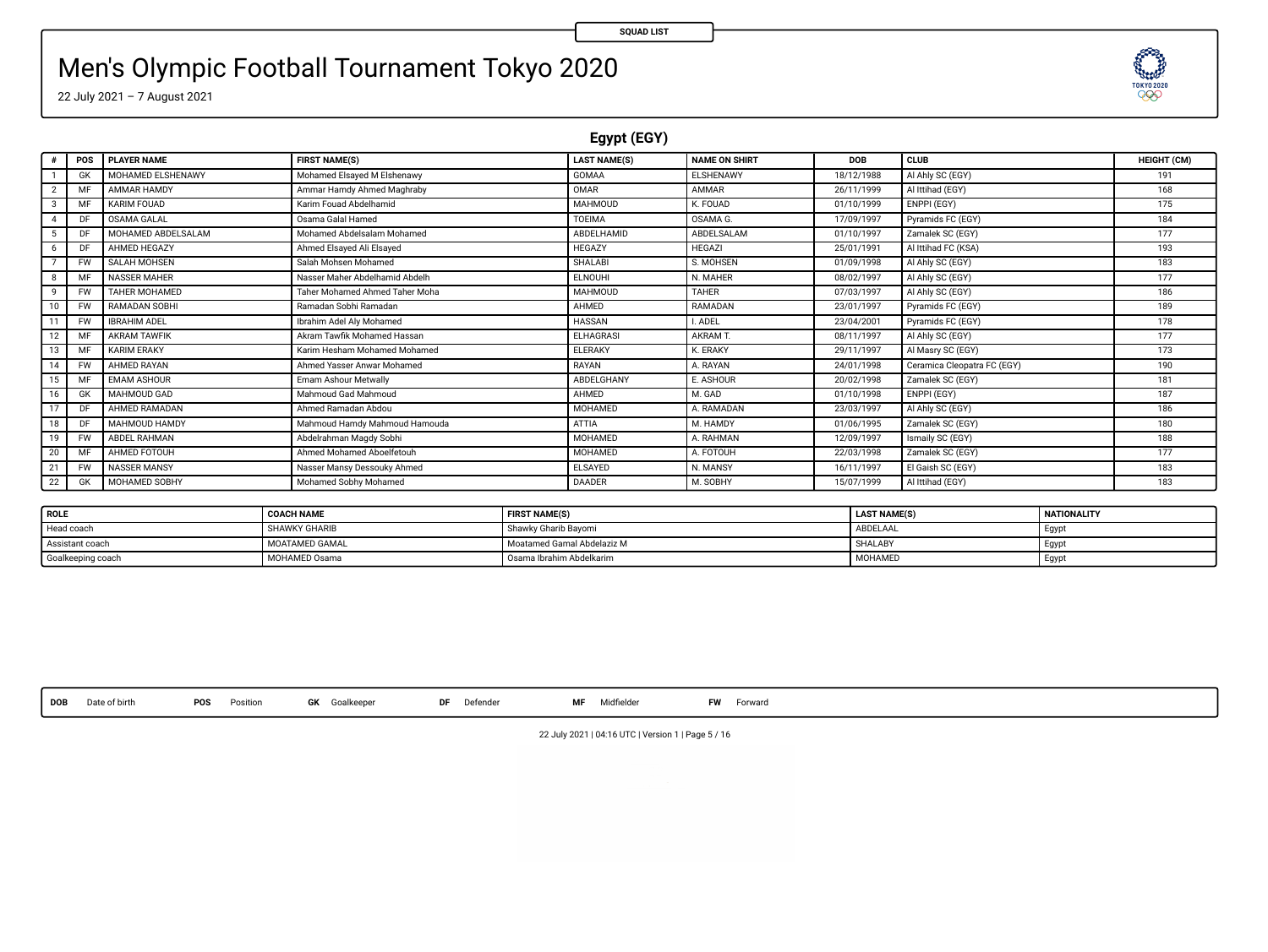**TOKYOZEN** 

# Men's Olympic Football Tournament Tokyo 2020

22 July 2021 – 7 August 2021

**Egypt (EGY)**

| $\theta$ | POS             | <b>PLAYER NAME</b>   | <b>FIRST NAME(S)</b>           | <b>LAST NAME(S)</b> | <b>NAME ON SHIRT</b> | <b>DOB</b> | <b>CLUB</b>                 | <b>HEIGHT (CM)</b> |
|----------|-----------------|----------------------|--------------------------------|---------------------|----------------------|------------|-----------------------------|--------------------|
|          | GK              | MOHAMED ELSHENAWY    | Mohamed Elsaved M Elshenawy    | GOMAA               | ELSHENAWY            | 18/12/1988 | Al Ahly SC (EGY)            | 191                |
|          | M               | AMMAR HAMDY          | Ammar Hamdy Ahmed Maghraby     | OMAR                | AMMAR                | 26/11/1999 | Al Ittihad (EGY)            | 168                |
| 3        | MF              | KARIM FOUAD          | Karim Fouad Abdelhamid         | MAHMOUD             | K. FOUAD             | 01/10/1999 | ENPPI (EGY)                 | 175                |
| 4        | DF <sub>1</sub> | OSAMA GALAL          | <b>Osama Galal Hamed</b>       | TOFIMA              | OSAMA G              | 17/09/1997 | Pyramids FC (EGY)           | 184                |
| 5        | D)              | MOHAMED ABDELSALAM   | Mohamed Abdelsalam Mohamed     | ABDELHAMID          | ABDELSALAM           | 01/10/1997 | Zamalek SC (EGY)            | 177                |
| 6        | DF              | AHMED HEGAZY         | Ahmed Elsaved Ali Elsaved      | HEGAZY              | <b>HEGAZI</b>        | 25/01/1991 | Al Ittihad FC (KSA)         | 193                |
|          | <b>FW</b>       | SALAH MOHSEN         | Salah Mohsen Mohamed           | <b>SHALABI</b>      | S. MOHSEN            | 01/09/1998 | Al Ahly SC (EGY)            | 183                |
| 8        | MF              | <b>NASSER MAHER</b>  | Nasser Maher Abdelhamid Abdelh | ELNOUHI             | N. MAHER             | 08/02/1997 | Al Ahly SC (EGY)            | 177                |
| 9        | <b>FW</b>       | <b>TAHER MOHAMED</b> | Taher Mohamed Ahmed Taher Moha | MAHMOUD             | <b>TAHER</b>         | 07/03/1997 | Al Ahly SC (EGY)            | 186                |
| 10       | <b>FW</b>       | RAMADAN SOBHI        | Ramadan Sobhi Ramadan          | AHMED               | RAMADAN              | 23/01/1997 | Pyramids FC (EGY)           | 189                |
| 11       | <b>FW</b>       | <b>IBRAHIM ADEL</b>  | Ibrahim Adel Alv Mohamed       | HASSAN              | I. ADEL              | 23/04/2001 | Pyramids FC (EGY)           | 178                |
| 12       | ME              | <b>AKRAM TAWFIK</b>  | Akram Tawfik Mohamed Hassan    | ELHAGRASI           | AKRAM T              | 08/11/1997 | Al Ahly SC (EGY)            | 177                |
| 13       | MF              | <b>KARIM ERAKY</b>   | Karim Hesham Mohamed Mohamed   | <b>ELERAKY</b>      | <b>K. ERAKY</b>      | 29/11/1997 | Al Masry SC (EGY)           | 173                |
| 14       | <b>FW</b>       | AHMED RAYAN          | Ahmed Yasser Anwar Mohamed     | RAYAN               | A. RAYAN             | 24/01/1998 | Ceramica Cleopatra FC (EGY) | 190                |
| 15       | MF              | <b>EMAM ASHOUR</b>   | Emam Ashour Metwally           | ABDELGHANY          | E. ASHOUR            | 20/02/1998 | Zamalek SC (EGY)            | 181                |
| 16       | GK              | <b>MAHMOUD GAD</b>   | Mahmoud Gad Mahmoud            | AHMED               | M. GAD               | 01/10/1998 | ENPPI (EGY)                 | 187                |
| 17       | DF              | AHMED RAMADAN        | Ahmed Ramadan Abdou            | MOHAMED             | A. RAMADAN           | 23/03/1997 | Al Ahly SC (EGY)            | 186                |
| 18       | DF              | MAHMOUD HAMDY        | Mahmoud Hamdy Mahmoud Hamouda  | ATTIA               | M. HAMDY             | 01/06/1995 | Zamalek SC (EGY)            | 180                |
| 19       | <b>FW</b>       | ABDEL RAHMAN         | Abdelrahman Magdy Sobhi        | MOHAMED             | A. RAHMAN            | 12/09/1997 | Ismaily SC (EGY)            | 188                |
| 20       | MF              | AHMED FOTOUH         | Ahmed Mohamed Aboelfetouh      | MOHAMED             | A. FOTOUH            | 22/03/1998 | Zamalek SC (EGY)            | 177                |
| 21       | <b>FW</b>       | <b>NASSER MANSY</b>  | Nasser Mansy Dessouky Ahmed    | <b>ELSAYED</b>      | N. MANSY             | 16/11/1997 | El Gaish SC (EGY)           | 183                |
| 22       | GK              | MOHAMED SOBHY        | Mohamed Sobhy Mohamed          | DAADER              | M. SOBHY             | 15/07/1999 | Al Ittihad (EGY)            | 183                |

| ROLE              | <b>COACH NAME</b>    | <b>FIRST NAME(S)</b>       | <b>LAST NAME(S)</b> | <b>NATIONALITY</b> |
|-------------------|----------------------|----------------------------|---------------------|--------------------|
| Head coach        | <b>SHAWKY GHARIB</b> | Shawky Gharib Bayomi       | ABDELAAL            | I Egyp             |
| Assistant coach   | MOATAMED GAMAL       | Moatamed Gamal Abdelaziz M | SHALABY             | Egyp               |
| Goalkeeping coach | MOHAMED Osama        | Osama Ibrahim Abdelkarim   | MOHAMED             | Egyp               |

**DOB** Date of birth **POS** Position **GK** Goalkeeper **DF** Defender **MF** Midelder **FW** Forward

22 July 2021 | 04:16 UTC | Version 1 | Page 5 / 16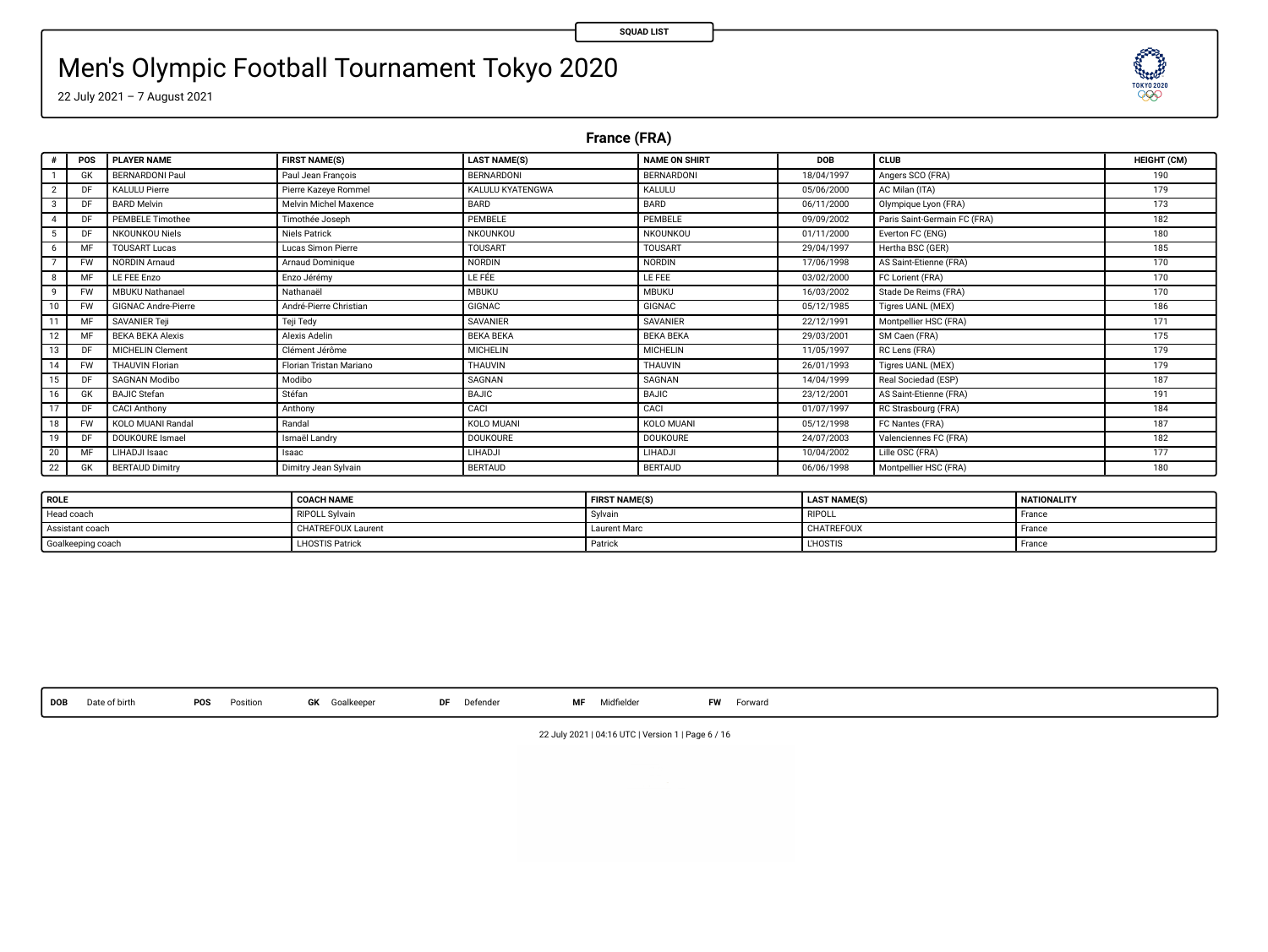**TESTORY** 

# Men's Olympic Football Tournament Tokyo 2020

22 July 2021 – 7 August 2021

**France (FRA)**

| $\theta$       | POS       | <b>PLAYER NAME</b>         | <b>FIRST NAME(S)</b>    | <b>LAST NAME(S)</b>     | <b>NAME ON SHIRT</b> | DOB        | CLUB                         | HEIGHT (CM) |
|----------------|-----------|----------------------------|-------------------------|-------------------------|----------------------|------------|------------------------------|-------------|
|                | <b>GK</b> | BERNARDONI Paul            | Paul Jean Francois      | BERNARDONI              | BERNARDONI           | 18/04/1997 | Angers SCO (FRA)             | 190         |
|                | DF        | <b>KALULU Pierre</b>       | Pierre Kazeye Rommel    | <b>KALULU KYATENGWA</b> | KALULU               | 05/06/2000 | AC Milan (ITA)               | 179         |
| $\overline{3}$ | DF        | <b>BARD Melvin</b>         | Melvin Michel Maxence   | BARD                    | BARD                 | 06/11/2000 | Olympique Lyon (FRA)         | 173         |
|                | DF        | <b>PEMBELE Timothee</b>    | Timothée Joseph         | PEMBELE                 | PEMBELE              | 09/09/2002 | Paris Saint-Germain FC (FRA) | 182         |
|                | DF        | <b>NKOUNKOU Niels</b>      | <b>Niels Patrick</b>    | NKOUNKOU                | NKOUNKOU             | 01/11/2000 | Everton FC (ENG)             | 180         |
| 6              | MF        | <b>TOUSART Lucas</b>       | Lucas Simon Pierre      | <b>TOUSART</b>          | <b>TOUSART</b>       | 29/04/1997 | Hertha BSC (GER)             | 185         |
|                | <b>FW</b> | <b>NORDIN Arnaud</b>       | Arnaud Dominique        | <b>NORDIN</b>           | NORDIN               | 17/06/1998 | AS Saint-Etienne (FRA)       | 170         |
| 8              | MF        | LE FEE Enzo                | Enzo Jérémy             | LE FÉE                  | <b>LE FEE</b>        | 03/02/2000 | FC Lorient (FRA)             | 170         |
| 9              | <b>FW</b> | <b>MBUKU Nathanael</b>     | Nathanaël               | <b>MBUKU</b>            | <b>MBUKU</b>         | 16/03/2002 | Stade De Reims (FRA)         | 170         |
| 10             | <b>FW</b> | <b>GIGNAC Andre-Pierre</b> | André-Pierre Christian  | <b>GIGNAC</b>           | <b>GIGNAC</b>        | 05/12/1985 | Tigres UANL (MEX)            | 186         |
| 11             | MF        | SAVANIER Teil              | Teji Tedy               | SAVANIER                | SAVANIER             | 22/12/1991 | Montpellier HSC (FRA)        | 171         |
| 12             | MF        | <b>BEKA BEKA Alexis</b>    | Alexis Adelin           | <b>BEKA BEKA</b>        | <b>BEKA BEKA</b>     | 29/03/2001 | SM Caen (FRA)                | 175         |
| 13             | DF        | <b>MICHELIN Clement</b>    | Clément Jérôme          | <b>MICHELIN</b>         | <b>MICHELIN</b>      | 11/05/1997 | RC Lens (FRA)                | 179         |
| 14             | <b>FW</b> | <b>THAUVIN Florian</b>     | Florian Tristan Mariano | THAUVIN                 | THAUVIN              | 26/01/1993 | Tigres UANL (MEX)            | 179         |
| 15             | DF        | SAGNAN Modibo              | Modibo                  | SAGNAN                  | SAGNAN               | 14/04/1999 | Real Sociedad (ESP)          | 187         |
| 16             | <b>GK</b> | <b>BAJIC Stefan</b>        | Stéfan                  | BAJIC                   | BAJIC                | 23/12/2001 | AS Saint-Etienne (FRA)       | 191         |
| 17             | DF        | CACI Anthony               | Anthony                 | CACI                    | CACI                 | 01/07/1997 | RC Strasbourg (FRA)          | 184         |
| 18             | <b>FW</b> | KOLO MUANI Randal          | Randal                  | KOLO MUANI              | KOLO MUANI           | 05/12/1998 | FC Nantes (FRA)              | 187         |
| 19             | DF        | DOUKOURE Ismael            | Ismaël Landry           | <b>DOUKOURE</b>         | <b>DOUKOURE</b>      | 24/07/2003 | Valenciennes FC (FRA)        | 182         |
| 20             | MF        | LIHADJI Isaac              | Isaac                   | LIHADJI                 | LIHADJI              | 10/04/2002 | Lille OSC (FRA)              | 177         |
| 22             | <b>GK</b> | <b>BERTAUD Dimitry</b>     | Dimitry Jean Sylvain    | <b>BERTAUD</b>          | <b>BERTAUD</b>       | 06/06/1998 | Montpellier HSC (FRA)        | 180         |

| ROLE              | <b>COACH NAME</b>         | <b>FIRST NAME(S)</b> | <b>LAST NAME(S)</b> | NATIONALITY |
|-------------------|---------------------------|----------------------|---------------------|-------------|
| Head coach        | RIPOLL Sylvain            | Sylvain              | <b>RIPOLL</b>       | France      |
| Assistant coach   | <b>CHATREFOUX Laurent</b> | Laurent Marc         | CHATREFOUX          | France      |
| Goalkeeping coach | <b>LHOSTIS Patrick</b>    | Patrick              | <b>LHOSTIS</b>      | France      |

**DOB** Date of birth **POS** Position **GK** Goalkeeper **DF** Defender **MF** Midelder **FW** Forward

22 July 2021 | 04:16 UTC | Version 1 | Page 6 / 16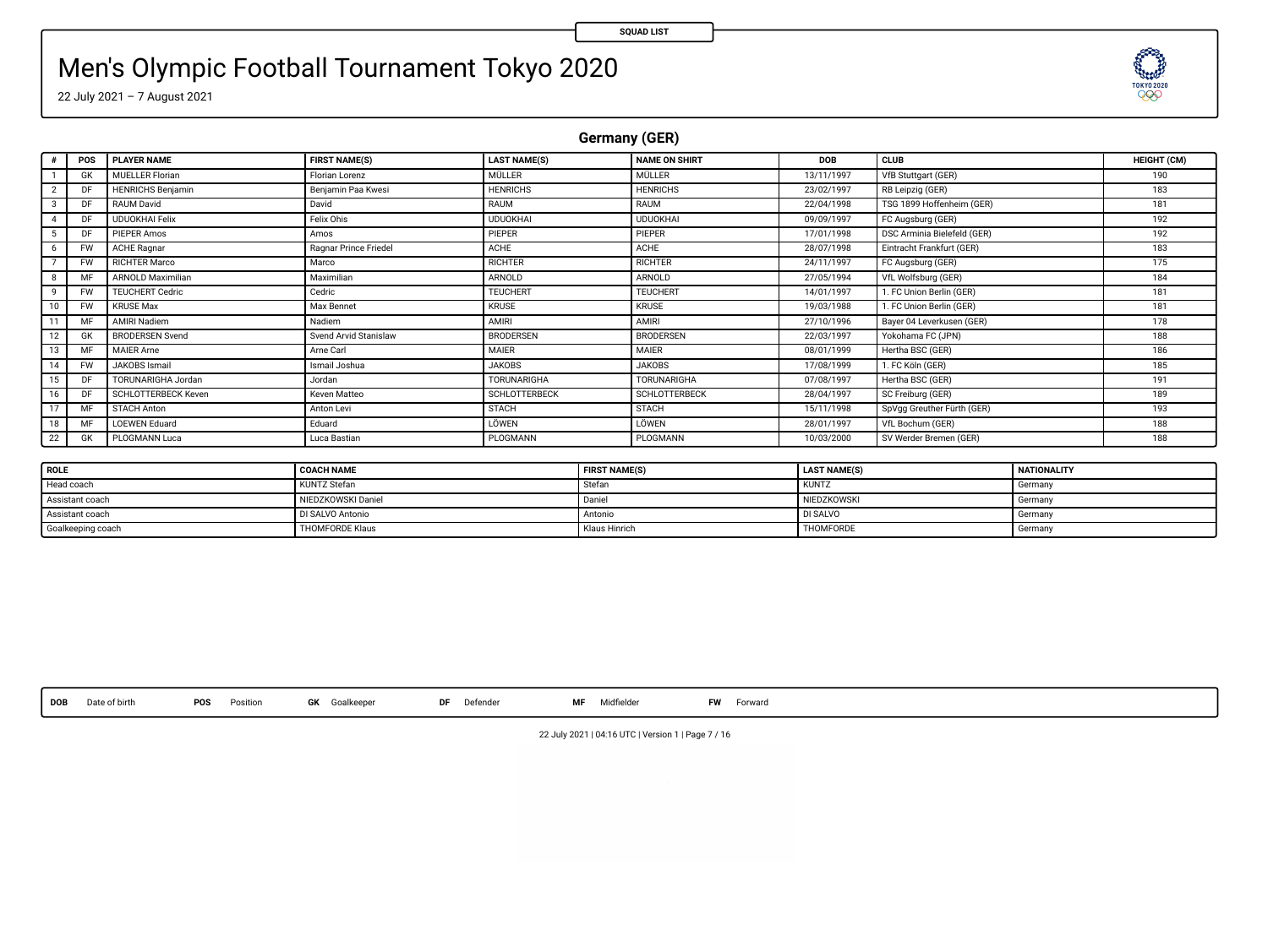# Men's Olympic Football Tournament Tokyo 2020

22 July 2021 – 7 August 2021

**Germany (GER)**

| $\theta$ | POS       | <b>PLAYER NAME</b>       | <b>FIRST NAME(S)</b>  | <b>LAST NAME(S)</b>  | <b>NAME ON SHIRT</b> | DOB        | CLUB                        | HEIGHT (CM) |
|----------|-----------|--------------------------|-----------------------|----------------------|----------------------|------------|-----------------------------|-------------|
|          | GK        | <b>MUELLER Florian</b>   | Florian Lorenz        | <b>MÜLLER</b>        | MÜLLER               | 13/11/1997 | VfB Stuttgart (GER)         | 190         |
|          | DF        | <b>HENRICHS Benjamin</b> | Benjamin Paa Kwesi    | <b>HENRICHS</b>      | <b>HENRICHS</b>      | 23/02/1997 | RB Leipzig (GER)            | 183         |
| 3        | DF        | RAUM David               | David                 | RAUM                 | RAUM                 | 22/04/1998 | TSG 1899 Hoffenheim (GER)   | 181         |
| 4        | DF        | <b>UDUOKHAI Felix</b>    | Felix Ohis            | <b>UDUOKHAI</b>      | UDUOKHAI             | 09/09/1997 | FC Augsburg (GER)           | 192         |
|          | DF        | <b>PIEPER Amos</b>       | Amos                  | PIEPER               | PIEPER               | 17/01/1998 | DSC Arminia Bielefeld (GER) | 192         |
| 6        | <b>FW</b> | <b>ACHE Ragnar</b>       | Ragnar Prince Friedel | <b>ACHE</b>          | ACHE                 | 28/07/1998 | Eintracht Frankfurt (GER)   | 183         |
|          | <b>FW</b> | <b>RICHTER Marco</b>     | Marco                 | <b>RICHTER</b>       | <b>RICHTER</b>       | 24/11/1997 | FC Augsburg (GER)           | 175         |
| 8        | MF        | ARNOLD Maximilian        | Maximilian            | ARNOLD               | ARNOLD               | 27/05/1994 | VfL Wolfsburg (GER)         | 184         |
| ۰        | <b>FW</b> | <b>TEUCHERT Cedric</b>   | Cedric                | <b>TEUCHERT</b>      | <b>TEUCHERT</b>      | 14/01/1997 | 1. FC Union Berlin (GER)    | 181         |
| 10       | <b>FW</b> | <b>KRUSE Max</b>         | Max Bennet            | <b>KRUSE</b>         | <b>KRUSE</b>         | 19/03/1988 | 1. FC Union Berlin (GER)    | 181         |
| 11       | MF        | AMIRI Nadiem             | Nadiem                | AMIRI                | AMIRI                | 27/10/1996 | Baver 04 Leverkusen (GER)   | 178         |
| 12       | <b>GK</b> | <b>BRODERSEN Svend</b>   | Svend Arvid Stanislaw | BRODERSEN            | BRODERSEN            | 22/03/1997 | Yokohama FC (JPN)           | 188         |
| 13       | MF        | <b>MAIER Arne</b>        | Arne Carl             | <b>MAIER</b>         | MAIER                | 08/01/1999 | Hertha BSC (GER)            | 186         |
| 14       | <b>FW</b> | JAKOBS Ismail            | Ismail Joshua         | <b>JAKOBS</b>        | <b>JAKOBS</b>        | 17/08/1999 | 1. FC Köln (GER)            | 185         |
| 15       | DF        | TORUNARIGHA Jordan       | Jordan                | <b>TORUNARIGHA</b>   | TORUNARIGHA          | 07/08/1997 | Hertha BSC (GER)            | 191         |
| 16       | DF        | SCHLOTTERBECK Keven      | Keyen Matteo          | <b>SCHLOTTERBECK</b> | <b>SCHLOTTERBECK</b> | 28/04/1997 | SC Freiburg (GER)           | 189         |
| 17       | MF        | <b>STACH Anton</b>       | Anton Levi            | <b>STACH</b>         | <b>STACH</b>         | 15/11/1998 | SpVgg Greuther Fürth (GER)  | 193         |
| 18       | MF        | <b>LOEWEN Eduard</b>     | Eduard                | LÖWEN                | LÖWEN                | 28/01/1997 | VfL Bochum (GER)            | 188         |
| 22       | <b>GK</b> | PLOGMANN Luca            | Luca Bastian          | PLOGMANN             | PLOGMANN             | 10/03/2000 | SV Werder Bremen (GER)      | 188         |

| ROLE              | <b>COACH NAME</b>      | <b>FIRST NAME(S)</b> | <b>LAST NAME(S)</b> | <b>NATIONALITY</b> |
|-------------------|------------------------|----------------------|---------------------|--------------------|
| Head coach        | <b>KUNTZ Stefan</b>    | Stefan               | <b>I KUNT2</b>      | Germany            |
| Assistant coach   | NIEDZKOWSKI Daniel     | Daniel               | NIEDZKOWSKI         | Germany            |
| Assistant coach   | DI SALVO Antonio       | Antonio              | DI SALVO            | Germany            |
| Goalkeeping coach | <b>THOMFORDE Klaus</b> | Klaus Hinrich        | THOMFORDE           | Germany            |

**DOB** Date of birth **POS** Position **GK** Goalkeeper **DF** Defender **MF** Midelder **FW** Forward

22 July 2021 | 04:16 UTC | Version 1 | Page 7 / 16

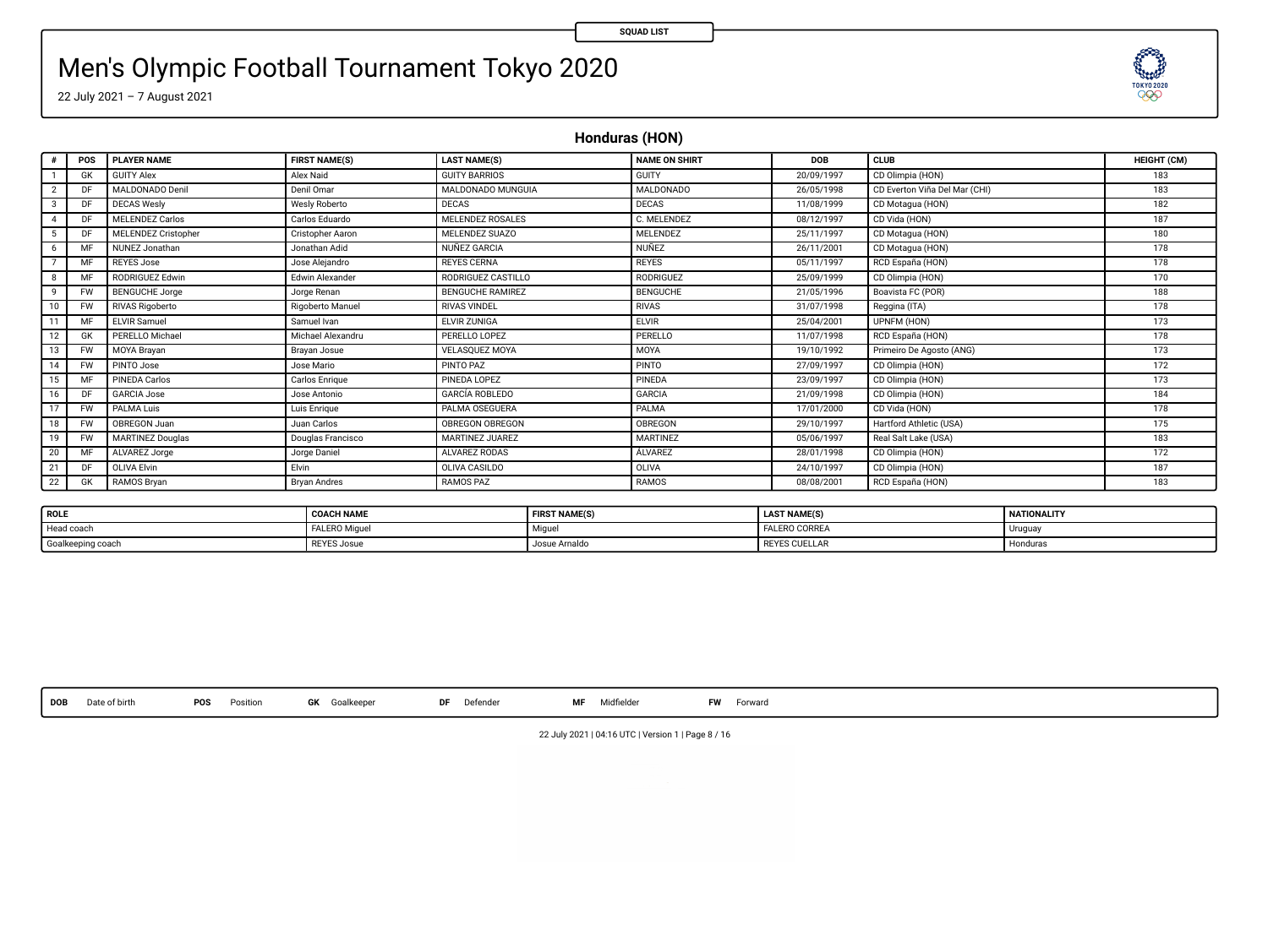# Men's Olympic Football Tournament Tokyo 2020

22 July 2021 – 7 August 2021

**Honduras (HON)**

| <b>GUITY BARRIOS</b><br><b>GUITY</b><br>CD Olimpia (HON)<br><b>GUITY Alex</b><br>Alex Naid<br>20/09/1997<br><b>GK</b><br>MALDONADO Denil<br>MALDONADO MUNGUIA<br><b>MALDONADO</b><br>CD Everton Viña Del Mar (CHI)<br>Denil Omar<br>26/05/1998<br>DF<br>$\overline{\mathbf{2}}$<br>Wesly Roberto<br>DECAS<br>DECAS<br>CD Motagua (HON)<br><b>DECAS Wesly</b><br>11/08/1999<br>DE.<br>3<br>MELENDEZ ROSALES<br>C. MELENDEZ<br><b>MELENDEZ Carlos</b><br>Carlos Eduardo<br>CD Vida (HON)<br>08/12/1997<br>DF<br>4<br>MELENDEZ SUAZO<br><b>MELENDEZ</b><br><b>MELENDEZ Cristopher</b><br>Cristopher Aaron<br>25/11/1997<br>DF<br>CD Motagua (HON)<br>5<br><b>NUNEZ</b><br>NUNEZ Jonathan<br>hihâ nedtenol.<br>NUÑEZ GARCIA<br>CD Motagua (HON)<br>MF<br>26/11/2001<br>6<br><b>REYES Jose</b><br>Jose Aleiandro<br><b>REYES CERNA</b><br><b>REYES</b><br>05/11/1997<br>RCD España (HON)<br>MF<br>RODRIGUEZ Edwin<br>Edwin Alexander<br>RODRIGUEZ CASTILLO<br><b>RODRIGUEZ</b><br>CD Olimpia (HON)<br>25/09/1999<br>8<br>MF<br><b>BENGUCHE Jorge</b><br><b>RENGLICHE RAMIREZ</b><br><b>BENGUCHE</b><br>Jorge Renan<br>Boavista FC (POR)<br>9<br><b>FW</b><br>21/05/1996<br><b>RIVAS Rigoberto</b><br>Rigoberto Manuel<br><b>RIVAS VINDEL</b><br><b>RIVAS</b><br>31/07/1998<br>Reggina (ITA)<br>10<br><b>FW</b><br><b>ELVIR</b><br><b>ELVIR Samuel</b><br>Samuel Ivan<br>ELVIR ZUNIGA<br>11<br>MF<br>25/04/2001<br>UPNEM (HON)<br>PERELLO Michael<br>Michael Alexandru<br>PERELLO<br>PERELLO LOPEZ<br>11/07/1998<br>12<br><b>GK</b><br>RCD España (HON)<br>MOYA Brayan<br>Primeiro De Agosto (ANG)<br>13<br><b>FW</b><br><b>VELASQUEZ MOYA</b><br>MOYA<br>19/10/1992<br>Bravan Josue<br>PINTO PAZ<br>PINTO<br>14<br>PINTO Jose<br>Jose Mario<br>27/09/1997<br>CD Olimpia (HON)<br><b>FW</b><br>PINEDA LOPEZ<br>CD Olimpia (HON)<br>15<br>PINEDA Carlos<br>Carlos Enrique<br>PINEDA<br>23/09/1997<br>MF<br><b>GARCÍA ROBLEDO</b><br><b>GARCIA Jose</b><br>Jose Antonio<br><b>GARCIA</b><br>21/09/1998<br>CD Olimpia (HON)<br>16<br>DF<br>PALMA OSEGUERA<br>PALMA<br>Luis Enrique<br>CD Vida (HON)<br>PALMA Luis<br>17/01/2000<br>17<br><b>FW</b><br>OBREGON Juan<br>OBREGON<br>18<br><b>FW</b><br>Juan Carlos<br><b>OBREGON OBREGON</b><br>Hartford Athletic (USA)<br>29/10/1997<br>19<br><b>MARTINEZ Douglas</b><br>Douglas Francisco<br>MARTINEZ JUAREZ<br><b>MARTINEZ</b><br>Real Salt Lake (USA)<br>FW<br>05/06/1997 | HEIGHT (CM) |
|-------------------------------------------------------------------------------------------------------------------------------------------------------------------------------------------------------------------------------------------------------------------------------------------------------------------------------------------------------------------------------------------------------------------------------------------------------------------------------------------------------------------------------------------------------------------------------------------------------------------------------------------------------------------------------------------------------------------------------------------------------------------------------------------------------------------------------------------------------------------------------------------------------------------------------------------------------------------------------------------------------------------------------------------------------------------------------------------------------------------------------------------------------------------------------------------------------------------------------------------------------------------------------------------------------------------------------------------------------------------------------------------------------------------------------------------------------------------------------------------------------------------------------------------------------------------------------------------------------------------------------------------------------------------------------------------------------------------------------------------------------------------------------------------------------------------------------------------------------------------------------------------------------------------------------------------------------------------------------------------------------------------------------------------------------------------------------------------------------------------------------------------------------------------------------------------------------------------------------------------------------------------------------------------------------------------------------------------------------------------------------------------------------------------|-------------|
|                                                                                                                                                                                                                                                                                                                                                                                                                                                                                                                                                                                                                                                                                                                                                                                                                                                                                                                                                                                                                                                                                                                                                                                                                                                                                                                                                                                                                                                                                                                                                                                                                                                                                                                                                                                                                                                                                                                                                                                                                                                                                                                                                                                                                                                                                                                                                                                                                   | 183         |
|                                                                                                                                                                                                                                                                                                                                                                                                                                                                                                                                                                                                                                                                                                                                                                                                                                                                                                                                                                                                                                                                                                                                                                                                                                                                                                                                                                                                                                                                                                                                                                                                                                                                                                                                                                                                                                                                                                                                                                                                                                                                                                                                                                                                                                                                                                                                                                                                                   | 183         |
|                                                                                                                                                                                                                                                                                                                                                                                                                                                                                                                                                                                                                                                                                                                                                                                                                                                                                                                                                                                                                                                                                                                                                                                                                                                                                                                                                                                                                                                                                                                                                                                                                                                                                                                                                                                                                                                                                                                                                                                                                                                                                                                                                                                                                                                                                                                                                                                                                   | 182         |
|                                                                                                                                                                                                                                                                                                                                                                                                                                                                                                                                                                                                                                                                                                                                                                                                                                                                                                                                                                                                                                                                                                                                                                                                                                                                                                                                                                                                                                                                                                                                                                                                                                                                                                                                                                                                                                                                                                                                                                                                                                                                                                                                                                                                                                                                                                                                                                                                                   | 187         |
|                                                                                                                                                                                                                                                                                                                                                                                                                                                                                                                                                                                                                                                                                                                                                                                                                                                                                                                                                                                                                                                                                                                                                                                                                                                                                                                                                                                                                                                                                                                                                                                                                                                                                                                                                                                                                                                                                                                                                                                                                                                                                                                                                                                                                                                                                                                                                                                                                   | 180         |
|                                                                                                                                                                                                                                                                                                                                                                                                                                                                                                                                                                                                                                                                                                                                                                                                                                                                                                                                                                                                                                                                                                                                                                                                                                                                                                                                                                                                                                                                                                                                                                                                                                                                                                                                                                                                                                                                                                                                                                                                                                                                                                                                                                                                                                                                                                                                                                                                                   | 178         |
|                                                                                                                                                                                                                                                                                                                                                                                                                                                                                                                                                                                                                                                                                                                                                                                                                                                                                                                                                                                                                                                                                                                                                                                                                                                                                                                                                                                                                                                                                                                                                                                                                                                                                                                                                                                                                                                                                                                                                                                                                                                                                                                                                                                                                                                                                                                                                                                                                   | 178         |
|                                                                                                                                                                                                                                                                                                                                                                                                                                                                                                                                                                                                                                                                                                                                                                                                                                                                                                                                                                                                                                                                                                                                                                                                                                                                                                                                                                                                                                                                                                                                                                                                                                                                                                                                                                                                                                                                                                                                                                                                                                                                                                                                                                                                                                                                                                                                                                                                                   | 170         |
|                                                                                                                                                                                                                                                                                                                                                                                                                                                                                                                                                                                                                                                                                                                                                                                                                                                                                                                                                                                                                                                                                                                                                                                                                                                                                                                                                                                                                                                                                                                                                                                                                                                                                                                                                                                                                                                                                                                                                                                                                                                                                                                                                                                                                                                                                                                                                                                                                   | 188         |
|                                                                                                                                                                                                                                                                                                                                                                                                                                                                                                                                                                                                                                                                                                                                                                                                                                                                                                                                                                                                                                                                                                                                                                                                                                                                                                                                                                                                                                                                                                                                                                                                                                                                                                                                                                                                                                                                                                                                                                                                                                                                                                                                                                                                                                                                                                                                                                                                                   | 178         |
|                                                                                                                                                                                                                                                                                                                                                                                                                                                                                                                                                                                                                                                                                                                                                                                                                                                                                                                                                                                                                                                                                                                                                                                                                                                                                                                                                                                                                                                                                                                                                                                                                                                                                                                                                                                                                                                                                                                                                                                                                                                                                                                                                                                                                                                                                                                                                                                                                   | 173         |
|                                                                                                                                                                                                                                                                                                                                                                                                                                                                                                                                                                                                                                                                                                                                                                                                                                                                                                                                                                                                                                                                                                                                                                                                                                                                                                                                                                                                                                                                                                                                                                                                                                                                                                                                                                                                                                                                                                                                                                                                                                                                                                                                                                                                                                                                                                                                                                                                                   | 178         |
|                                                                                                                                                                                                                                                                                                                                                                                                                                                                                                                                                                                                                                                                                                                                                                                                                                                                                                                                                                                                                                                                                                                                                                                                                                                                                                                                                                                                                                                                                                                                                                                                                                                                                                                                                                                                                                                                                                                                                                                                                                                                                                                                                                                                                                                                                                                                                                                                                   | 173         |
|                                                                                                                                                                                                                                                                                                                                                                                                                                                                                                                                                                                                                                                                                                                                                                                                                                                                                                                                                                                                                                                                                                                                                                                                                                                                                                                                                                                                                                                                                                                                                                                                                                                                                                                                                                                                                                                                                                                                                                                                                                                                                                                                                                                                                                                                                                                                                                                                                   | 172         |
|                                                                                                                                                                                                                                                                                                                                                                                                                                                                                                                                                                                                                                                                                                                                                                                                                                                                                                                                                                                                                                                                                                                                                                                                                                                                                                                                                                                                                                                                                                                                                                                                                                                                                                                                                                                                                                                                                                                                                                                                                                                                                                                                                                                                                                                                                                                                                                                                                   | 173         |
|                                                                                                                                                                                                                                                                                                                                                                                                                                                                                                                                                                                                                                                                                                                                                                                                                                                                                                                                                                                                                                                                                                                                                                                                                                                                                                                                                                                                                                                                                                                                                                                                                                                                                                                                                                                                                                                                                                                                                                                                                                                                                                                                                                                                                                                                                                                                                                                                                   | 184         |
|                                                                                                                                                                                                                                                                                                                                                                                                                                                                                                                                                                                                                                                                                                                                                                                                                                                                                                                                                                                                                                                                                                                                                                                                                                                                                                                                                                                                                                                                                                                                                                                                                                                                                                                                                                                                                                                                                                                                                                                                                                                                                                                                                                                                                                                                                                                                                                                                                   | 178         |
|                                                                                                                                                                                                                                                                                                                                                                                                                                                                                                                                                                                                                                                                                                                                                                                                                                                                                                                                                                                                                                                                                                                                                                                                                                                                                                                                                                                                                                                                                                                                                                                                                                                                                                                                                                                                                                                                                                                                                                                                                                                                                                                                                                                                                                                                                                                                                                                                                   | 175         |
|                                                                                                                                                                                                                                                                                                                                                                                                                                                                                                                                                                                                                                                                                                                                                                                                                                                                                                                                                                                                                                                                                                                                                                                                                                                                                                                                                                                                                                                                                                                                                                                                                                                                                                                                                                                                                                                                                                                                                                                                                                                                                                                                                                                                                                                                                                                                                                                                                   | 183         |
| 20<br>ALVAREZ Jorge<br><b>ALVAREZ</b><br>CD Olimpia (HON)<br>Jorge Daniel<br>ALVAREZ RODAS<br>28/01/1998<br>MF                                                                                                                                                                                                                                                                                                                                                                                                                                                                                                                                                                                                                                                                                                                                                                                                                                                                                                                                                                                                                                                                                                                                                                                                                                                                                                                                                                                                                                                                                                                                                                                                                                                                                                                                                                                                                                                                                                                                                                                                                                                                                                                                                                                                                                                                                                    | 172         |
| <b>OLIVA CASILDO</b><br>OLIVA<br><b>OLIVA Elvin</b><br>Elvin<br>24/10/1997<br>CD Olimpia (HON)<br>21<br>DF                                                                                                                                                                                                                                                                                                                                                                                                                                                                                                                                                                                                                                                                                                                                                                                                                                                                                                                                                                                                                                                                                                                                                                                                                                                                                                                                                                                                                                                                                                                                                                                                                                                                                                                                                                                                                                                                                                                                                                                                                                                                                                                                                                                                                                                                                                        | 187         |
| RAMOS PAZ<br>22<br>RAMOS Bryan<br><b>Bryan Andres</b><br>RAMOS<br>08/08/2001<br>RCD España (HON)<br><b>GK</b>                                                                                                                                                                                                                                                                                                                                                                                                                                                                                                                                                                                                                                                                                                                                                                                                                                                                                                                                                                                                                                                                                                                                                                                                                                                                                                                                                                                                                                                                                                                                                                                                                                                                                                                                                                                                                                                                                                                                                                                                                                                                                                                                                                                                                                                                                                     | 183         |

| <b>ROLE</b>       | <b>COACH NAME</b> | <b>FIRST NAME(S)</b> | <b>LAST NAME(S)</b>  | <b>NATIONALITY</b> |
|-------------------|-------------------|----------------------|----------------------|--------------------|
| Head coach        | FALERO Miquel     | Migue.               | <b>FALERO CORREA</b> | Urugua             |
| Goalkeeping coach | REYES Josue       | Josue Amaldo         | <b>REYES CUELLAR</b> | · Honduras         |

**DOB** Date of birth **POS** Position **GK** Goalkeeper **DF** Defender **MF** Midelder **FW** Forward

**TESTORY** 

22 July 2021 | 04:16 UTC | Version 1 | Page 8 / 16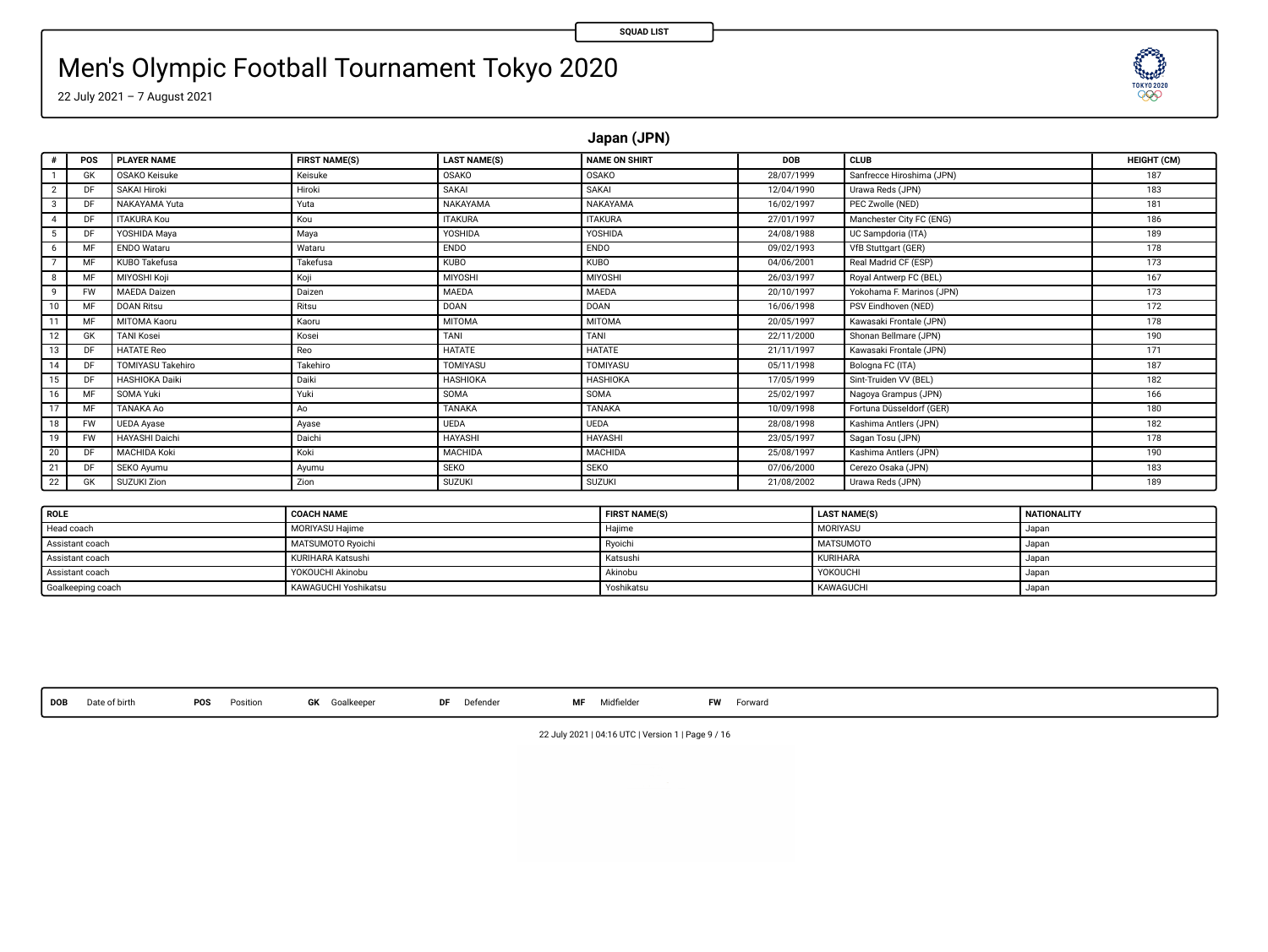**ELECTRIC** 

# Men's Olympic Football Tournament Tokyo 2020

22 July 2021 – 7 August 2021

**Japan (JPN)**

| ٠                       | POS       | <b>PLAYER NAME</b>       | <b>FIRST NAME(S)</b> | <b>LAST NAME(S)</b> | <b>NAME ON SHIRT</b> | <b>DOB</b> | <b>CLUB</b>               | HEIGHT (CM) |
|-------------------------|-----------|--------------------------|----------------------|---------------------|----------------------|------------|---------------------------|-------------|
|                         | GK        | <b>OSAKO Keisuke</b>     | Keisuke              | <b>OSAKO</b>        | OSAKO                | 28/07/1999 | Sanfrecce Hiroshima (JPN) | 187         |
| $\overline{\mathbf{2}}$ | <b>DE</b> | SAKAI Hiroki             | Hiroki               | SAKAL               | SAKAI                | 12/04/1990 | Urawa Reds (JPN)          | 183         |
| 3                       | DE.       | NAKAYAMA Yuta            | Yuta                 | NAKAYAMA            | NAKAYAMA             | 16/02/1997 | PEC Zwolle (NED)          | 181         |
| 4                       | DF        | <b>ITAKURA Kou</b>       | Kou                  | <b>ITAKURA</b>      | <b>ITAKURA</b>       | 27/01/1997 | Manchester City FC (ENG)  | 186         |
| 5                       | DF        | YOSHIDA Maya             | Maya                 | YOSHIDA             | <b>YOSHIDA</b>       | 24/08/1988 | UC Sampdoria (ITA)        | 189         |
| 6                       | MF        | <b>ENDO Wataru</b>       | Wataru               | <b>ENDO</b>         | <b>ENDO</b>          | 09/02/1993 | VfB Stuttgart (GER)       | 178         |
|                         | <b>MF</b> | KUBO Takefusa            | Takefusa             | <b>KUBO</b>         | <b>KUBO</b>          | 04/06/2001 | Real Madrid CF (ESP)      | 173         |
| 8                       | MF        | MIYOSHI Koji             | Koji                 | MIYOSHI             | MIYOSHI              | 26/03/1997 | Royal Antwerp FC (BEL)    | 167         |
| 9                       | <b>FW</b> | <b>MAEDA</b> Daizen      | Daizen               | MAEDA               | MAEDA                | 20/10/1997 | Yokohama F. Marinos (JPN) | 173         |
| 10                      | <b>MF</b> | <b>DOAN Ritsu</b>        | Ritsu                | <b>DOAN</b>         | <b>DOAN</b>          | 16/06/1998 | PSV Eindhoven (NED)       | 172         |
| 11                      | MF        | MITOMA Kaoru             | Kaoru                | <b>MITOMA</b>       | <b>MITOMA</b>        | 20/05/1997 | Kawasaki Frontale (JPN)   | 178         |
| 12                      | GK        | <b>TANI Kosei</b>        | Kosei                | TANI                | TANI                 | 22/11/2000 | Shonan Bellmare (JPN)     | 190         |
| 13                      | DF        | <b>HATATE Reo</b>        | Reo                  | <b>HATATE</b>       | <b>HATATE</b>        | 21/11/1997 | Kawasaki Frontale (JPN)   | 171         |
| 14                      | DF        | <b>TOMIYASU Takehiro</b> | Takehiro             | TOMIYASU            | TOMIYASU             | 05/11/1998 | Bologna FC (ITA)          | 187         |
| 15                      | DF        | <b>HASHIOKA Daiki</b>    | Daiki                | <b>HASHIOKA</b>     | <b>HASHIOKA</b>      | 17/05/1999 | Sint-Truiden VV (BEL)     | 182         |
| 16                      | MF        | SOMA Yuki                | Yuki                 | SOMA                | SOMA                 | 25/02/1997 | Nagoya Grampus (JPN)      | 166         |
| 17                      | MF        | TANAKA Ao                | Ao                   | TANAKA              | <b>TANAKA</b>        | 10/09/1998 | Fortuna Düsseldorf (GER)  | 180         |
| 18                      | <b>FW</b> | <b>UEDA</b> Ayase        | Ayase                | <b>UEDA</b>         | <b>UEDA</b>          | 28/08/1998 | Kashima Antlers (JPN)     | 182         |
| 19                      | <b>FW</b> | <b>HAYASHI Daichi</b>    | Daichi               | HAYASHI             | <b>HAYASHI</b>       | 23/05/1997 | Sagan Tosu (JPN)          | 178         |
| 20                      | DF        | MACHIDA Koki             | Koki                 | MACHIDA             | MACHIDA              | 25/08/1997 | Kashima Antlers (JPN)     | 190         |
| 21                      | DF        | SEKO Avumu               | Ayumu                | <b>SEKO</b>         | <b>SEKO</b>          | 07/06/2000 | Cerezo Osaka (JPN)        | 183         |
| 22                      | GK        | SUZUKI Zion              | Zion                 | <b>SUZUKI</b>       | <b>SUZUKI</b>        | 21/08/2002 | Urawa Reds (JPN)          | 189         |
|                         |           |                          |                      |                     |                      |            |                           |             |

| ROLE              | <b>COACH NAME</b>      | <b>FIRST NAME(S)</b> | <b>LAST NAME(S)</b> | <b>NATIONALITY</b> |
|-------------------|------------------------|----------------------|---------------------|--------------------|
| Head coach        | <b>MORIYASU Hailme</b> | Haiime               | <b>MORIYASU</b>     | Japan              |
| Assistant coach   | MATSUMOTO Rvoichi      | Ryoichi              | <b>MATSUMOTO</b>    | . Japan            |
| Assistant coach   | KURIHARA Katsushi      | Katsushi             | KURIHARA            | Japan              |
| Assistant coach   | YOKOUCHI Akinobu       | Akinobu              | YOKOUCHI            | Japan              |
| Goalkeeping coach | KAWAGUCHI Yoshikatsu   | Yoshikatsu           | KAWAGUCHI           | Japan              |

**DOB** Date of birth **POS** Position **GK** Goalkeeper **DF** Defender **MF** Midelder **FW** Forward

22 July 2021 | 04:16 UTC | Version 1 | Page 9 / 16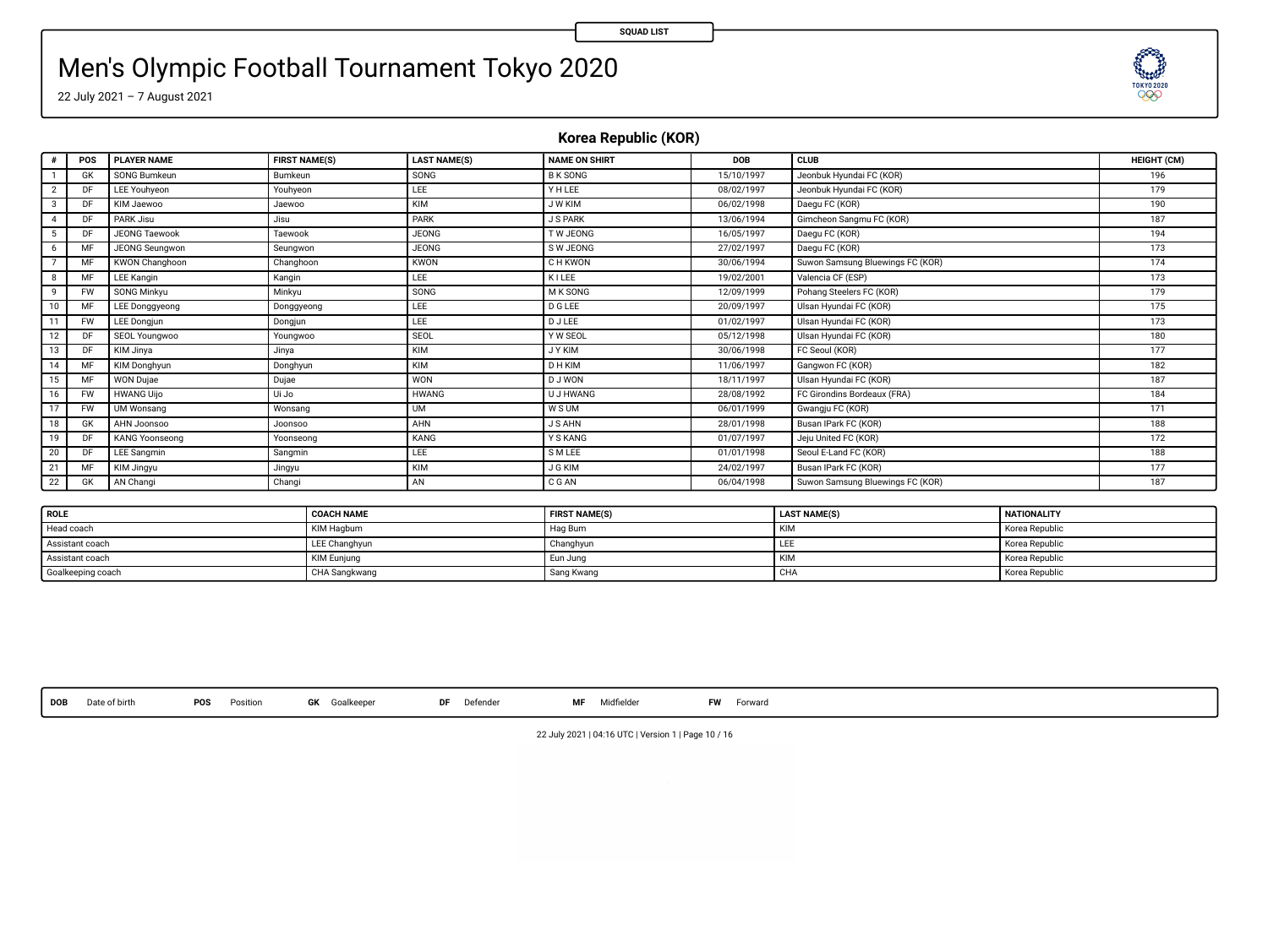# Men's Olympic Football Tournament Tokyo 2020

22 July 2021 – 7 August 2021

**Korea Republic (KOR)**

|    | POS       | <b>PLAYER NAME</b>    | <b>FIRST NAME(S)</b> | <b>LAST NAME(S)</b> | <b>NAME ON SHIRT</b> | DOB        | CLUB                             | HEIGHT (CM) |
|----|-----------|-----------------------|----------------------|---------------------|----------------------|------------|----------------------------------|-------------|
|    | GK        | SONG Bumkeun          | Bumkeun              | SONG                | <b>B K SONG</b>      | 15/10/1997 | Jeonbuk Hyundai FC (KOR)         | 196         |
|    | DF        | LEE Youhyeon          | Youhveon             | LEE                 | YHLEE                | 08/02/1997 | Jeonbuk Hyundai FC (KOR)         | 179         |
|    | DF        | KIM Jaewoo            | Jaewoo               | KIM                 | J W KIM              | 06/02/1998 | Daegu FC (KOR)                   | 190         |
|    | DE        | PARK Jisu             | Jisu                 | PARK                | <b>J S PARK</b>      | 13/06/1994 | Gimcheon Sangmu FC (KOR)         | 187         |
|    | DF        | <b>JEONG Taewook</b>  | Taewook              | <b>JEONG</b>        | <b>TW JEONG</b>      | 16/05/1997 | Daegu FC (KOR)                   | 194         |
| 6  | м         | JEONG Seungwon        | Seungwon             | <b>JEONG</b>        | S W JEONG            | 27/02/1997 | Daegu FC (KOR)                   | 173         |
|    | MF        | KWON Changhoon        | Changhoon            | <b>KWON</b>         | <b>CH KWON</b>       | 30/06/1994 | Suwon Samsung Bluewings FC (KOR) | 174         |
|    | MF        | <b>LEE Kangin</b>     | Kangin               | LEE                 | KILEE                | 19/02/2001 | Valencia CF (ESP)                | 173         |
|    | <b>FW</b> | SONG Minkyu           | Minkyu               | SONG                | M K SONG             | 12/09/1999 | Pohang Steelers FC (KOR)         | 179         |
| 10 | MF        | <b>LEE Dongqyeong</b> | Donggyeong           | LEE                 | <b>D G LEE</b>       | 20/09/1997 | Ulsan Hyundai FC (KOR)           | 175         |
| 11 | <b>FW</b> | <b>LEE Dongjun</b>    | Dongjun              | LEE                 | <b>DJLEE</b>         | 01/02/1997 | Ulsan Hyundai FC (KOR)           | 173         |
| 12 | DF        | SEOL Youngwoo         | Youngwoo             | SEOL                | Y W SEOL             | 05/12/1998 | Ulsan Hyundai FC (KOR)           | 180         |
| 13 | DF        | KIM Jinya             | Jinya                | KIM                 | <b>JYKIM</b>         | 30/06/1998 | FC Seoul (KOR)                   | 177         |
| 14 | MF        | KIM Donghyun          | Donghyun             | KIM                 | <b>DHKIM</b>         | 11/06/1997 | Gangwon FC (KOR)                 | 182         |
| 15 | MF        | <b>WON Dujae</b>      | Dujae                | WON                 | D J WON              | 18/11/1997 | Ulsan Hyundai FC (KOR)           | 187         |
| 16 | <b>FW</b> | <b>HWANG Uijo</b>     | Ui Jo                | <b>HWANG</b>        | <b>U J HWANG</b>     | 28/08/1992 | FC Girondins Bordeaux (FRA)      | 184         |
| 17 | <b>FW</b> | UM Wonsang            | Wonsang              | UM                  | W S UM               | 06/01/1999 | Gwangju FC (KOR)                 | 171         |
| 18 | GK        | AHN Joonsoo           | Joonsoo              | AHN                 | <b>J S AHN</b>       | 28/01/1998 | Busan IPark FC (KOR)             | 188         |
| 19 | DF        | <b>KANG Yoonseong</b> | Yoonseona            | KANG                | Y S KANG             | 01/07/1997 | Jeju United FC (KOR)             | 172         |
| 20 | DE        | LEE Sangmin           | Sangmin              | LEE                 | S M LEE              | 01/01/1998 | Seoul E-Land FC (KOR)            | 188         |
| 21 | MF        | KIM Jingyu            | Jingyu               | KIM                 | <b>J G KIM</b>       | 24/02/1997 | Busan IPark FC (KOR)             | 177         |
| 22 | GK        | AN Changi             | Changi               | AN                  | CGAN                 | 06/04/1998 | Suwon Samsung Bluewings FC (KOR) | 187         |

| <b>ROLE</b>       | <b>COACH NAME</b>  | <b>FIRST NAME(S)</b> | <b>LAST NAME(S)</b> | <b>NATIONALITY</b> |
|-------------------|--------------------|----------------------|---------------------|--------------------|
| Head coach        | KIM Hagbum         | Hag Bum              |                     | Korea Republic     |
| Assistant coach   | LEE Changhyun      | Changhyun            |                     | Korea Republic     |
| Assistant coach   | <b>KIM Euniung</b> | Eun Jung             |                     | Korea Republic     |
| Goalkeeping coach | CHA Sangkwang      | Sang Kwang           | CHA                 | Korea Republic     |

**DOB** Date of birth **POS** Position **GK** Goalkeeper **DF** Defender **MF** Midelder **FW** Forward

22 July 2021 | 04:16 UTC | Version 1 | Page 10 / 16

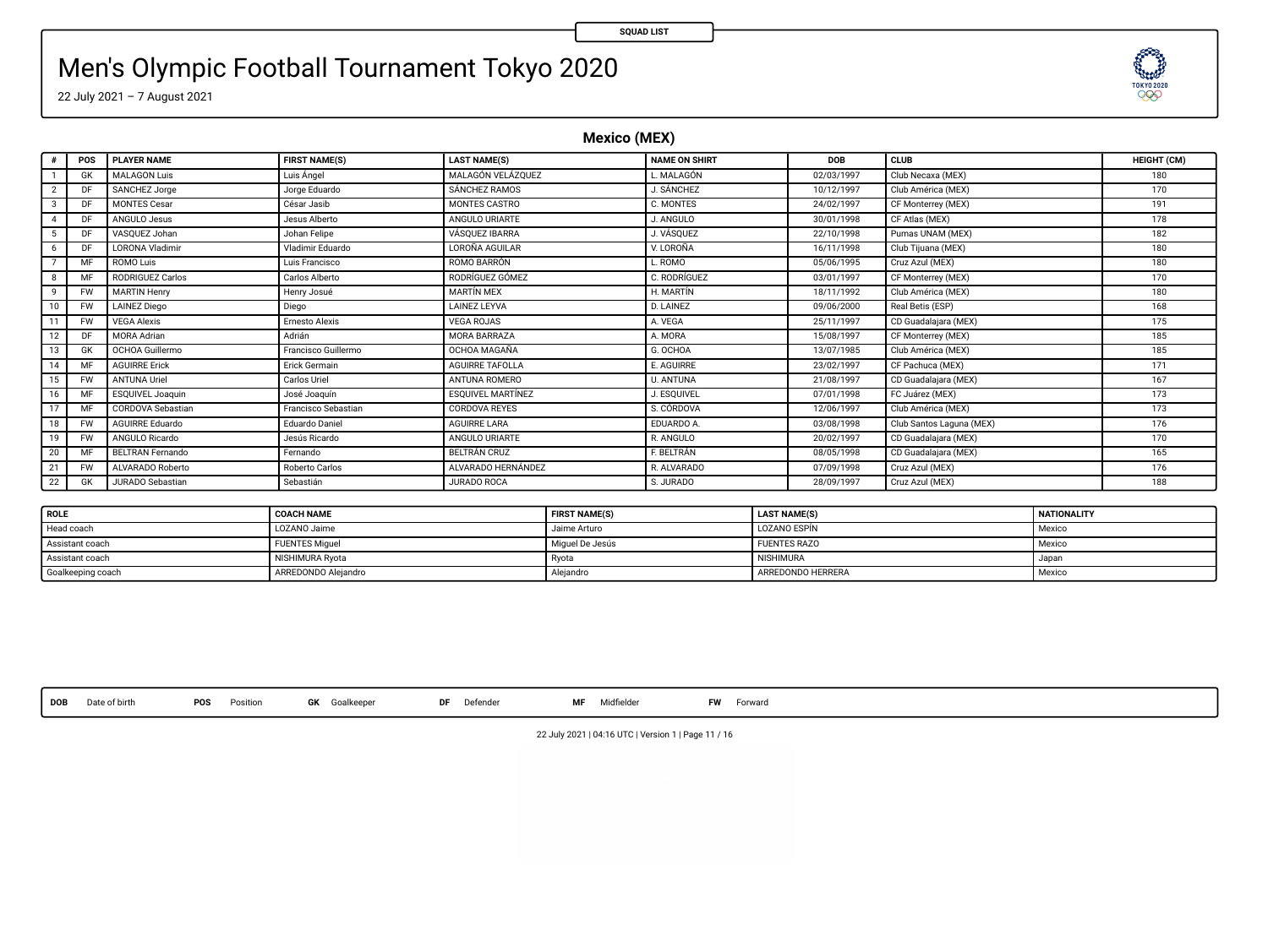TOKYO 2020 999

# Men's Olympic Football Tournament Tokyo 2020

22 July 2021 – 7 August 2021

**Mexico (MEX)**

|               | POS       | <b>PLAYER NAME</b>      | <b>FIRST NAME(S)</b>  | <b>LAST NAME(S)</b>      | <b>NAME ON SHIRT</b> | <b>DOB</b> | CLUB                     | HEIGHT (CM) |
|---------------|-----------|-------------------------|-----------------------|--------------------------|----------------------|------------|--------------------------|-------------|
|               | GK        | <b>MALAGON Luis</b>     | Luis Ángel            | MALAGÓN VELÁZOUEZ        | L. MALAGÓN           | 02/03/1997 | Club Necaxa (MEX)        | 180         |
|               |           | SANCHEZ Jorge           | Jorge Eduardo         | SÁNCHEZ RAMOS            | J. SÁNCHEZ           | 10/12/1997 | Club América (MEX)       | 170         |
| $\mathcal{R}$ | DF        | <b>MONTES Cesar</b>     | César Jasib           | MONTES CASTRO            | C. MONTES            | 24/02/1997 | CF Monterrey (MEX)       | 191         |
|               | DF        | ANGULO Jesus            | Jesus Alberto         | ANGULO URIARTE           | J. ANGULO            | 30/01/1998 | CF Atlas (MEX)           | 178         |
|               |           | VASOUEZ Johan           | Johan Felipe          | <b>VÁSOUEZ IBARRA</b>    | J. VÁSOUEZ           | 22/10/1998 | Pumas UNAM (MEX)         | 182         |
| 6             | DE        | LORONA Vladimir         | Vladimir Eduardo      | LOROÑA AGUILAR           | V. LOROÑA            | 16/11/1998 | Club Tijuana (MEX)       | 180         |
|               |           | <b>ROMO Luis</b>        | Luis Francisco        | ROMO BARRÓN              | L. ROMO              | 05/06/1995 | Cruz Azul (MEX)          | 180         |
| 8             | MF        | <b>RODRIGUEZ Carlos</b> | Carlos Alberto        | RODRÍGUEZ GÓMEZ          | C. RODRÍGUEZ         | 03/01/1997 | CF Monterrey (MEX)       | 170         |
| $\circ$       | <b>FW</b> | <b>MARTIN Henry</b>     | Henry Josué           | <b>MARTÍN MFX</b>        | H. MARTÍN            | 18/11/1992 | Club América (MEX)       | 180         |
|               | <b>FW</b> | <b>LAINEZ Diego</b>     | Diego                 | <b>LAINEZ LEYVA</b>      | <b>D. LAINEZ</b>     | 09/06/2000 | Real Betis (ESP)         | 168         |
|               | <b>FW</b> | <b>VEGA Alexis</b>      | <b>Ernesto Alexis</b> | <b>VEGA ROJAS</b>        | A. VEGA              | 25/11/1997 | CD Guadalajara (MEX)     | 175         |
|               | DE        | <b>MORA Adrian</b>      | Adrián                | MORA BARRAZA             | A. MORA              | 15/08/1997 | CF Monterrey (MEX)       | 185         |
|               | GK        | OCHOA Guillermo         | Francisco Guillermo   | <b>OCHOA MAGAÑA</b>      | G. OCHOA             | 13/07/1985 | Club América (MEX)       | 185         |
| 14            | MF        | <b>AGUIRRE Erick</b>    | Erick Germain         | AGUIRRE TAFOLLA          | E. AGUIRRE           | 23/02/1997 | CF Pachuca (MEX)         | 171         |
|               | <b>FW</b> | <b>ANTUNA Uriel</b>     | Carlos Uriel          | ANTUNA ROMERO            | U. ANTUNA            | 21/08/1997 | CD Guadalajara (MEX)     | 167         |
|               | MF        | <b>ESOUIVEL Joaquin</b> | José Joaquin          | <b>ESQUIVEL MARTÍNEZ</b> | J. ESOUIVEL          | 07/01/1998 | FC Juárez (MEX)          | 173         |
|               | MF        | CORDOVA Sebastian       | Francisco Sebastian   | CORDOVA REYES            | S. CÓRDOVA           | 12/06/1997 | Club América (MEX)       | 173         |
| 18            | <b>FW</b> | <b>AGUIRRE Eduardo</b>  | Eduardo Daniel        | <b>AGUIRRE LARA</b>      | EDUARDO A.           | 03/08/1998 | Club Santos Laguna (MEX) | 176         |
| 19            | <b>FW</b> | ANGULO Ricardo          | Jesús Ricardo         | ANGULO URIARTE           | R. ANGULO            | 20/02/1997 | CD Guadalajara (MEX)     | 170         |
| 20            | MF        | <b>REITRAN Fernando</b> | Fernando              | BELTRÁN CRUZ             | F. BELTRÁN           | 08/05/1998 | CD Guadalajara (MEX)     | 165         |
| $2^{\circ}$   | <b>FW</b> | ALVARADO Roberto        | Roberto Carlos        | ALVARADO HERNÁNDEZ       | R. ALVARADO          | 07/09/1998 | Cruz Azul (MEX)          | 176         |
| 22            | GK        | JURADO Sebastian        | Sebastián             | JURADO ROCA              | S. JURADO            | 28/09/1997 | Cruz Azul (MEX)          | 188         |

| <b>ROLE</b>       | <b>COACH NAME</b>     | <b>FIRST NAME(S)</b> | <b>LAST NAME(S)</b> | <b>NATIONALITY</b> |
|-------------------|-----------------------|----------------------|---------------------|--------------------|
| Head coach        | LOZANO Jaime          | Jaime Arturo         | LOZANO ESPÍN        | Mexico             |
| Assistant coach   | <b>FUENTES Miquel</b> | Miquel De Jesús      | <b>FUENTES RAZO</b> | Mexico             |
| Assistant coach   | NISHIMURA Ryota       | I Ryota              | <b>NISHIMURA</b>    | ı Japan            |
| Goalkeeping coach | ARREDONDO Aleiandro   | Aleiandro            | ARREDONDO HERRERA   | Mexico             |

**DOB** Date of birth **POS** Position **GK** Goalkeeper **DF** Defender **MF** Midelder **FW** Forward

22 July 2021 | 04:16 UTC | Version 1 | Page 11 / 16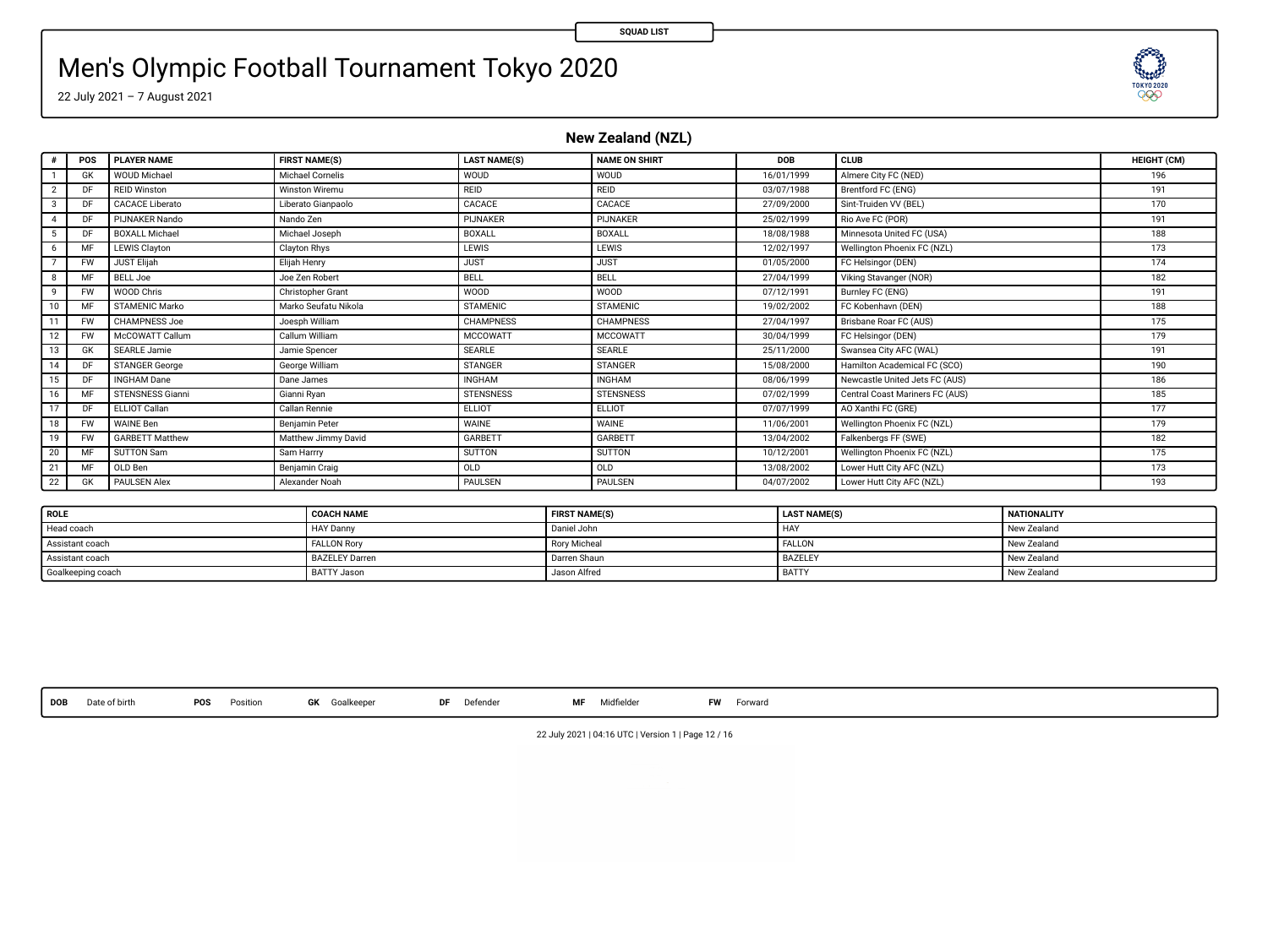# Men's Olympic Football Tournament Tokyo 2020

22 July 2021 – 7 August 2021

**New Zealand (NZL)**

|               | POS       | <b>PLAYER NAME</b>      | <b>FIRST NAME(S)</b>  | <b>LAST NAME(S)</b> | <b>NAME ON SHIRT</b> | DOB        | CLUB                            | HEIGHT (CM) |
|---------------|-----------|-------------------------|-----------------------|---------------------|----------------------|------------|---------------------------------|-------------|
|               | GK        | <b>WOUD Michael</b>     | Michael Cornelis      | WOUD                | WOUD                 | 16/01/1999 | Almere City FC (NED)            | 196         |
| 2             | DF        | <b>REID Winston</b>     | <b>Winston Wiremu</b> | REID                | <b>REID</b>          | 03/07/1988 | Brentford FC (ENG)              | 191         |
| $\mathcal{R}$ | DF        | <b>CACACE Liberato</b>  | Liberato Gianpaolo    | CACACE              | CACACE               | 27/09/2000 | Sint-Truiden VV (BEL)           | 170         |
|               | DE        | PLINAKER Nando          | Nando Zen             | PIJNAKER            | PIJNAKER             | 25/02/1999 | Rio Ave FC (POR)                | 191         |
|               |           | <b>BOXALL Michael</b>   | Michael Joseph        | <b>BOXALL</b>       | <b>BOXALL</b>        | 18/08/1988 | Minnesota United FC (USA)       | 188         |
| 6             | MF        | LEWIS Clayton           | Clayton Rhys          | LEWIS               | LEWIS                | 12/02/1997 | Wellington Phoenix FC (NZL)     | 173         |
|               | <b>FW</b> | <b>JUST Elijah</b>      | Elijah Henry          | <b>JUST</b>         | <b>JUST</b>          | 01/05/2000 | FC Helsingor (DEN)              | 174         |
| $\mathbf{R}$  | MF        | <b>BELL Joe</b>         | Joe Zen Robert        | BELL                | BELL                 | 27/04/1999 | Viking Stavanger (NOR)          | 182         |
| $\circ$       | <b>FW</b> | WOOD Chris              | Christopher Grant     | WOOD                | <b>WOOD</b>          | 07/12/1991 | Burnley FC (ENG)                | 191         |
|               | MF        | STAMENIC Marko          | Marko Seufatu Nikola  | <b>STAMENIC</b>     | <b>STAMENIC</b>      | 19/02/2002 | FC Kobenhavn (DEN)              | 188         |
| 11            | <b>FW</b> | <b>CHAMPNESS Joe</b>    | Joesph William        | <b>CHAMPNESS</b>    | CHAMPNESS            | 27/04/1997 | Brisbane Roar FC (AUS)          | 175         |
|               | <b>FW</b> | McCOWATT Callum         | Callum William        | <b>MCCOWATT</b>     | <b>MCCOWATT</b>      | 30/04/1999 | FC Helsingor (DEN)              | 179         |
| 13            | GK        | <b>SEARLE Jamie</b>     | Jamie Spencer         | SEARLE              | <b>SEARLE</b>        | 25/11/2000 | Swansea City AFC (WAL)          | 191         |
| 14            | DF        | STANGER George          | George William        | <b>STANGER</b>      | <b>STANGER</b>       | 15/08/2000 | Hamilton Academical FC (SCO)    | 190         |
| 15            | DF        | <b>INGHAM Dane</b>      | Dane James            | <b>INGHAM</b>       | <b>INGHAM</b>        | 08/06/1999 | Newcastle United Jets FC (AUS)  | 186         |
| 16            | MF        | <b>STENSNESS Gianni</b> | Gianni Ryan           | <b>STENSNESS</b>    | <b>STENSNESS</b>     | 07/02/1999 | Central Coast Mariners FC (AUS) | 185         |
|               | DF        | ELLIOT Callan           | Callan Rennie         | ELLIOT              | ELLIOT               | 07/07/1999 | AO Xanthi FC (GRE)              | 177         |
| 18            | <b>FW</b> | <b>WAINE Ben</b>        | Benjamin Peter        | WAINE               | WAINE                | 11/06/2001 | Wellington Phoenix FC (NZL)     | 179         |
| 19            | <b>FW</b> | <b>GARBETT Matthew</b>  | Matthew Jimmy David   | GARBETT             | <b>GARRETT</b>       | 13/04/2002 | Falkenbergs FF (SWE)            | 182         |
| 20            | MF        | SUTTON Sam              | Sam Harrry            | SUTTON              | SUTTON               | 10/12/2001 | Wellington Phoenix FC (NZL)     | 175         |
| 21            | MF        | OLD Ben                 | Benjamin Craig        | OLD                 | OLD                  | 13/08/2002 | Lower Hutt City AFC (NZL)       | 173         |
| 22            | GK        | <b>PAULSEN Alex</b>     | Alexander Noah        | PAULSEN             | PAULSEN              | 04/07/2002 | Lower Hutt City AFC (NZL)       | 193         |

| <b>ROLE</b>       | <b>COACH NAME</b>     | <b>FIRST NAME(S)</b> | <b>LAST NAME(S)</b> | NATIONALITY |
|-------------------|-----------------------|----------------------|---------------------|-------------|
| Head coach        | <b>HAY Danny</b>      | Daniel John          | HA)                 | New Zealand |
| Assistant coach   | <b>FALLON Rory</b>    | <b>Rory Micheal</b>  | <b>FALLON</b>       | New Zealand |
| Assistant coach   | <b>BAZELEY Darren</b> | Darren Shaun         | BAZELEY             | New Zealand |
| Goalkeeping coach | <b>BATTY Jason</b>    | Jason Alfred         | BATTY               | New Zealand |

**DOB** Date of birth **POS** Position **GK** Goalkeeper **DF** Defender **MF** Midelder **FW** Forward

**SEED!** 

22 July 2021 | 04:16 UTC | Version 1 | Page 12 / 16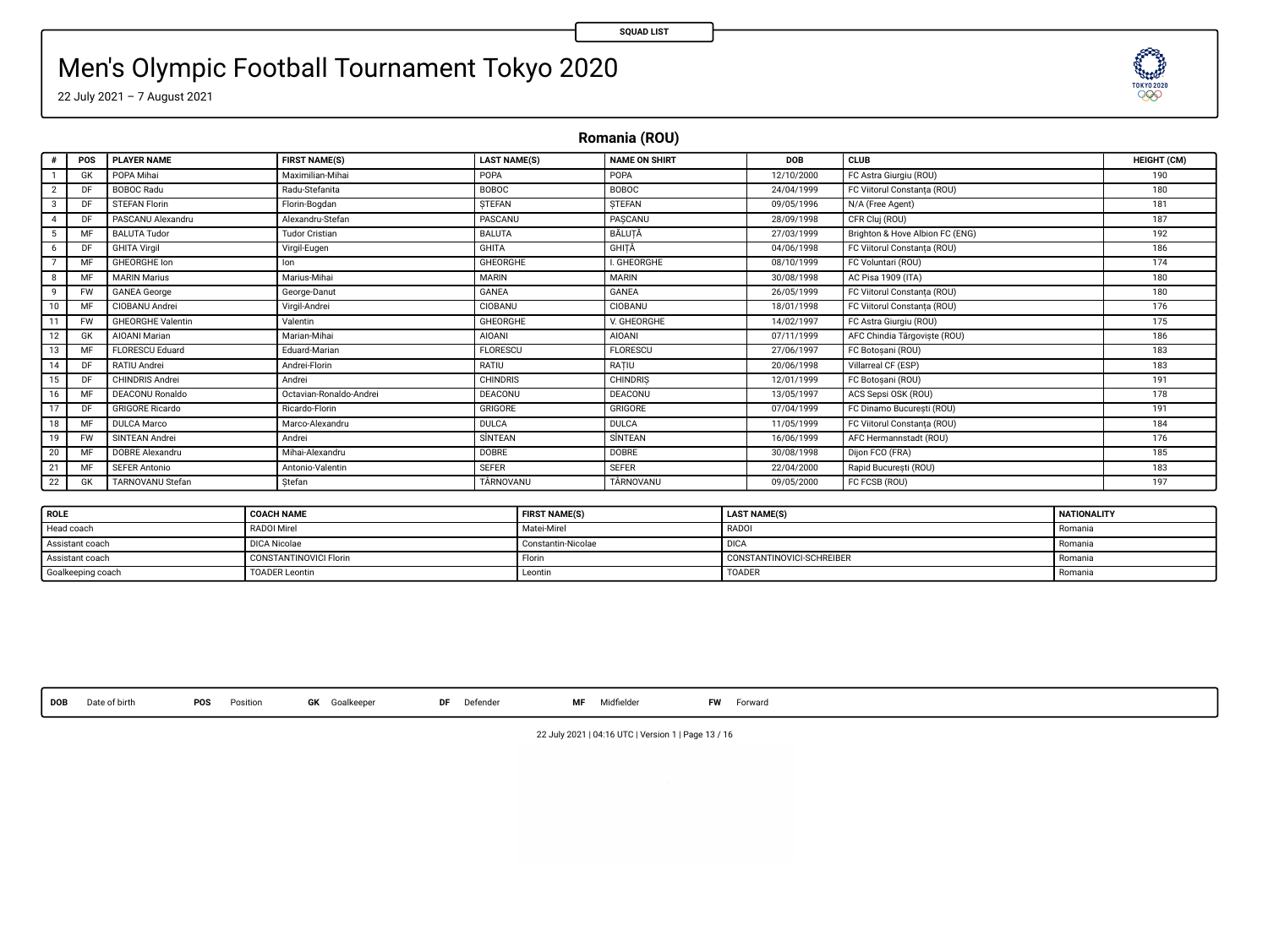**SEED!** 

# Men's Olympic Football Tournament Tokyo 2020

22 July 2021 – 7 August 2021

**Romania (ROU)**

| ٠                       | POS       | <b>PLAYER NAME</b>       | <b>FIRST NAME(S)</b>    | <b>LAST NAME(S)</b> | <b>NAME ON SHIRT</b> | DOB        | CLUB                            | HEIGHT (CM) |
|-------------------------|-----------|--------------------------|-------------------------|---------------------|----------------------|------------|---------------------------------|-------------|
|                         | <b>GK</b> | POPA Mihai               | Maximilian-Mihai        | POPA                | POPA                 | 12/10/2000 | FC Astra Giurgiu (ROU)          | 190         |
| $\overline{\mathbf{2}}$ | DF        | <b>BOBOC Radu</b>        | Radu-Stefanita          | <b>BOBOC</b>        | <b>BOBOC</b>         | 24/04/1999 | FC Viitorul Constanta (ROU)     | 180         |
| 3                       | DF        | <b>STEFAN Florin</b>     | Florin-Boadan           | STEFAN              | STEFAN               | 09/05/1996 | N/A (Free Agent)                | 181         |
| 4                       | DE        | PASCANU Alexandru        | Alexandru-Stefan        | PASCANU             | PASCANU              | 28/09/1998 | CFR Cluj (ROU)                  | 187         |
| 5                       | MF        | <b>BALUTA Tudor</b>      | <b>Tudor Cristian</b>   | <b>BALUTA</b>       | BĂLUTĂ               | 27/03/1999 | Brighton & Hove Albion FC (ENG) | 192         |
| 6                       | DF        | <b>GHITA Virgil</b>      | Virgil-Eugen            | <b>GHITA</b>        | GHITÄ                | 04/06/1998 | FC Viitorul Constanta (ROU)     | 186         |
|                         | MF        | <b>GHEORGHE Ion</b>      | lon                     | <b>GHEORGHE</b>     | <b>I. GHEORGHE</b>   | 08/10/1999 | FC Voluntari (ROU)              | 174         |
| 8                       | MF        | <b>MARIN Marius</b>      | Marius-Mihai            | <b>MARIN</b>        | <b>MARIN</b>         | 30/08/1998 | AC Pisa 1909 (ITA)              | 180         |
| ۹                       | <b>FW</b> | <b>GANEA</b> George      | George-Danut            | GANEA               | GANEA                | 26/05/1999 | FC Viitorul Constanta (ROU)     | 180         |
| 10                      | MF        | CIOBANU Andrei           | Virgil-Andrei           | CIOBANU             | CIOBANU              | 18/01/1998 | FC Viitorul Constanta (ROU)     | 176         |
| 11                      | <b>FW</b> | <b>GHEORGHE Valentin</b> | Valentin                | <b>GHEORGHE</b>     | V. GHEORGHE          | 14/02/1997 | FC Astra Giurgiu (ROU)          | 175         |
| 12                      | <b>GK</b> | AIOANI Marian            | Marian-Mihai            | <b>AIOANI</b>       | <b>AIOANI</b>        | 07/11/1999 | AFC Chindia Tárgoviște (ROU)    | 186         |
| 13                      | MF        | FLORESCU Eduard          | Eduard-Marian           | <b>FLORESCU</b>     | <b>FLORESCU</b>      | 27/06/1997 | FC Botosani (ROU)               | 183         |
| 14                      | DE        | RATIU Andrei             | Andrei-Florin           | RATIU               | RATIU                | 20/06/1998 | Villarreal CF (ESP)             | 183         |
| 15                      | DF        | CHINDRIS Andrei          | Andrei                  | <b>CHINDRIS</b>     | <b>CHINDRIS</b>      | 12/01/1999 | FC Botosani (ROU)               | 191         |
| 16                      | MF        | DEACONU Ronaldo          | Octavian-Ronaldo-Andrei | DEACONU             | <b>DEACONU</b>       | 13/05/1997 | ACS Sepsi OSK (ROU)             | 178         |
| 17                      | DF        | <b>GRIGORE Ricardo</b>   | Ricardo-Florin          | GRIGORE             | GRIGORE              | 07/04/1999 | FC Dinamo București (ROU)       | 191         |
| 18                      | MF        | <b>DULCA Marco</b>       | Marco-Alexandru         | DULCA               | <b>DULCA</b>         | 11/05/1999 | FC Viitorul Constanta (ROU)     | 184         |
| 19                      | <b>FW</b> | SINTEAN Andrei           | Andrei                  | SİNTEAN             | SÍNTEAN              | 16/06/1999 | AFC Hermannstadt (ROU)          | 176         |
| 20                      | MF        | DOBRE Alexandru          | Mihai-Alexandru         | DOBRE               | DOBRE                | 30/08/1998 | Dijon FCO (FRA)                 | 185         |
| 21                      | MF        | <b>SEFER Antonio</b>     | Antonio-Valentin        | <b>SEFER</b>        | <b>SEFER</b>         | 22/04/2000 | Rapid București (ROU)           | 183         |
| 22                      | GK        | <b>TARNOVANU Stefan</b>  | Stefan                  | TÄRNOVANU           | TÁRNOVANU            | 09/05/2000 | FC FCSB (ROU)                   | 197         |

| <b>ROLE</b>       | <b>COACH NAME</b>      | <b>FIRST NAME(S)</b> | <b>LAST NAME(S)</b>       | <b>NATIONALITY</b> |
|-------------------|------------------------|----------------------|---------------------------|--------------------|
| Head coach        | RADOI Mirel            | Matei-Mirel          | <b>RADO</b>               | Romania            |
| Assistant coach   | <b>DICA Nicolae</b>    | Constantin-Nicolae   | DICA                      | Romania            |
| Assistant coach   | CONSTANTINOVICI Florin | Florin               | CONSTANTINOVICI-SCHREIBER | Romania            |
| Goalkeeping coach | <b>TOADER Leontin</b>  | Leontin              | <b>TOADER</b>             | Romania            |

**DOB** Date of birth **POS** Position **GK** Goalkeeper **DF** Defender **MF** Midelder **FW** Forward

22 July 2021 | 04:16 UTC | Version 1 | Page 13 / 16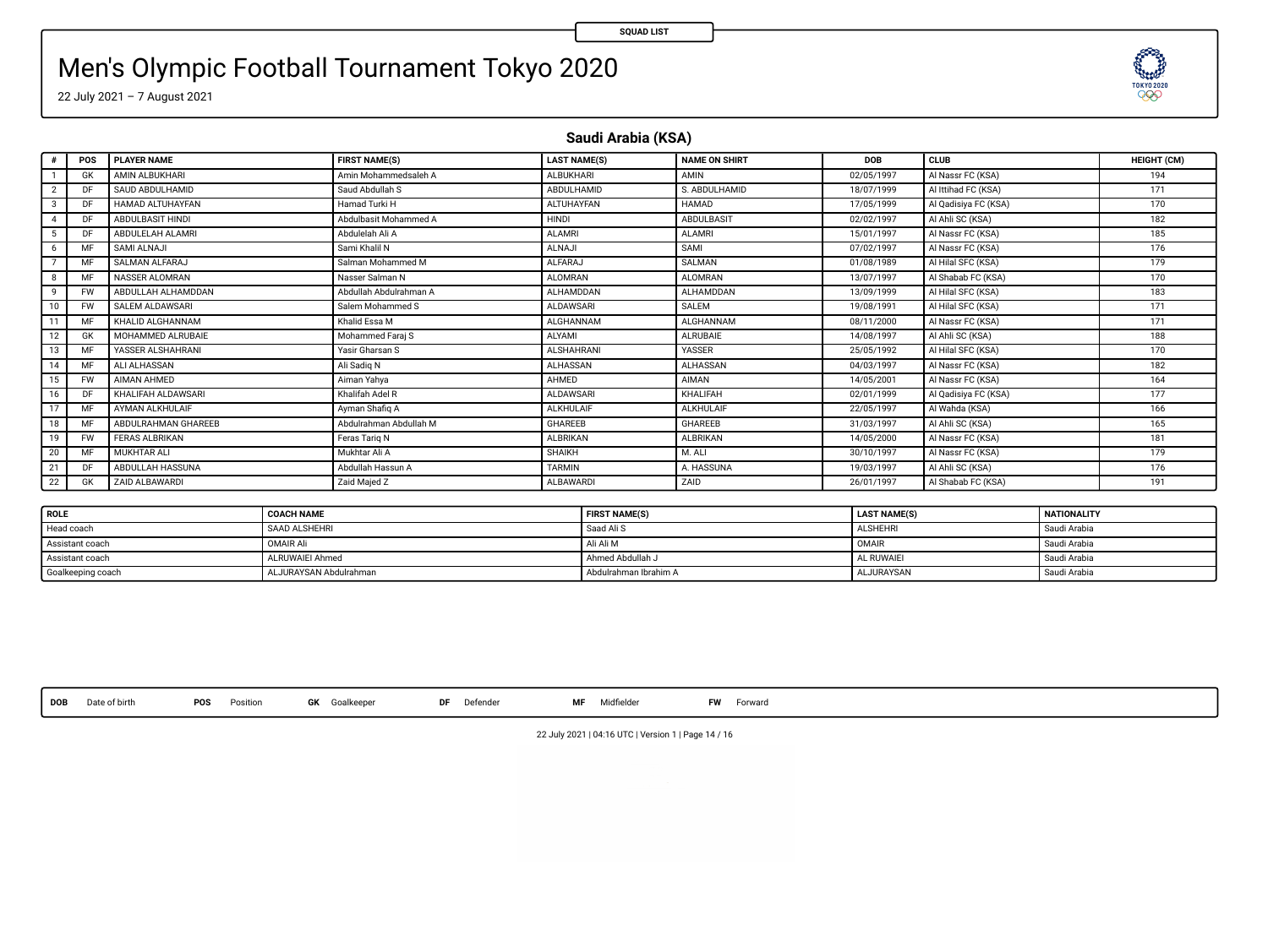# Men's Olympic Football Tournament Tokyo 2020

22 July 2021 – 7 August 2021

**Saudi Arabia (KSA)**

|              | POS       | <b>PLAYER NAME</b>    | <b>FIRST NAME(S)</b>   | <b>LAST NAME(S)</b> | <b>NAME ON SHIRT</b> | <b>DOB</b> | <b>CLUB</b>          | HEIGHT (CM) |
|--------------|-----------|-----------------------|------------------------|---------------------|----------------------|------------|----------------------|-------------|
|              | GK        | AMIN ALBUKHARI        | Amin Mohammedsaleh A   | <b>ALBUKHARI</b>    | AMIN                 | 02/05/1997 | Al Nassr FC (KSA)    | 194         |
|              | DF        | SAUD ABDULHAMID       | Saud Abdullah S        | ABDULHAMID          | S. ABDULHAMID        | 18/07/1999 | Al Ittihad FC (KSA)  | 171         |
|              | DF        | HAMAD ALTUHAYFAN      | Hamad Turki H          | <b>ALTUHAYFAN</b>   | <b>HAMAD</b>         | 17/05/1999 | Al Qadisiya FC (KSA) | 170         |
|              | DE        | ABDULBASIT HINDI      | Abdulbasit Mohammed A  | HINDI               | ABDULBASIT           | 02/02/1997 | Al Ahli SC (KSA)     | 182         |
|              | DF        | ABDULELAH ALAMRI      | Abdulelah Ali A        | <b>ALAMRI</b>       | <b>ALAMRI</b>        | 15/01/1997 | Al Nassr FC (KSA)    | 185         |
|              | MF        | SAMI ALNAJI           | Sami Khalil N          | <b>ALNAJI</b>       | SAMI                 | 07/02/1997 | Al Nassr FC (KSA)    | 176         |
|              | MF        | SALMAN ALFARAJ        | Salman Mohammed M      | <b>ALFARAJ</b>      | SALMAN               | 01/08/1989 | Al Hilal SFC (KSA)   | 179         |
|              | MF        | NASSER ALOMRAN        | Nasser Salman N        | <b>ALOMRAN</b>      | <b>ALOMRAN</b>       | 13/07/1997 | Al Shabab FC (KSA)   | 170         |
| $\mathbf{Q}$ | <b>FW</b> | ABDULLAH ALHAMDDAN    | Abdullah Abdulrahman A | ALHAMDDAN           | ALHAMDDAN            | 13/09/1999 | Al Hilal SFC (KSA)   | 183         |
| 10           | FW        | SALEM ALDAWSARI       | Salem Mohammed S       | <b>ALDAWSARI</b>    | SALEM                | 19/08/1991 | Al Hilal SFC (KSA)   | 171         |
| 11           | MF        | KHALID ALGHANNAM      | Khalid Essa M          | ALGHANNAM           | ALGHANNAM            | 08/11/2000 | Al Nassr FC (KSA)    | 171         |
| 12           | GK        | MOHAMMED ALRUBAIE     | Mohammed Farai S       | ALYAMI              | ALRUBAIE             | 14/08/1997 | AI Ahli SC (KSA)     | 188         |
| 13           | MF        | YASSER ALSHAHRANI     | Yasir Gharsan S        | <b>ALSHAHRANI</b>   | <b>YASSER</b>        | 25/05/1992 | Al Hilal SFC (KSA)   | 170         |
| 14           | MF        | ALI ALHASSAN          | Ali Sadig N            | ALHASSAN            | ALHASSAN             | 04/03/1997 | Al Nassr FC (KSA)    | 182         |
| 15           | <b>FW</b> | AIMAN AHMED           | Aiman Yahva            | <b>AHMED</b>        | AIMAN                | 14/05/2001 | Al Nassr FC (KSA)    | 164         |
| 16           | DF        | KHALIFAH ALDAWSARI    | Khalifah Adel R        | <b>ALDAWSARI</b>    | KHALIFAH             | 02/01/1999 | Al Qadisiya FC (KSA) | 177         |
| 17           | MF        | AYMAN ALKHULAIF       | Avman Shafig A         | <b>ALKHULAIF</b>    | <b>ALKHULAIF</b>     | 22/05/1997 | Al Wahda (KSA)       | 166         |
| 18           | MF        | ABDULRAHMAN GHAREEB   | Abdulrahman Abdullah M | <b>GHAREEB</b>      | GHAREEB              | 31/03/1997 | Al Ahli SC (KSA)     | 165         |
| 19           | <b>FW</b> | <b>FERAS ALBRIKAN</b> | Feras Tario N          | <b>ALBRIKAN</b>     | ALBRIKAN             | 14/05/2000 | Al Nassr FC (KSA)    | 181         |
| 20           | MF        | MUKHTAR ALI           | Mukhtar Ali A          | SHAIKH              | M. ALI               | 30/10/1997 | Al Nassr FC (KSA)    | 179         |
| 21           | DF        | ABDULLAH HASSUNA      | Abdullah Hassun A      | <b>TARMIN</b>       | A. HASSUNA           | 19/03/1997 | AI Ahli SC (KSA)     | 176         |
| 22           | GK        | ZAID ALBAWARDI        | Zaid Maied Z           | ALBAWARDI           | ZAID                 | 26/01/1997 | Al Shabab FC (KSA)   | 191         |

| <b>ROLE</b>       | <b>COACH NAME</b>      | <b>FIRST NAME(S)</b>  | <b>LAST NAME(S)</b> | <b>NATIONALITY</b> |
|-------------------|------------------------|-----------------------|---------------------|--------------------|
| Head coach        | <b>SAAD ALSHEHRI</b>   | Saad Ali S            | <b>ALSHEHRI</b>     | Saudi Arabia       |
| Assistant coach   | OMAIR Ali              | Ali Ali M             | OMAIR               | Saudi Arabia       |
| Assistant coach   | ALRUWAIEI Ahmed        | Ahmed Abdullah J      | AL RUWAIEI          | Saudi Arabia       |
| Goalkeeping coach | ALJURAYSAN Abdulrahman | Abdulrahman Ibrahim A | ALJURAYSAN          | Saudi Arabia       |

**DOB** Date of birth **POS** Position **GK** Goalkeeper **DF** Defender **MF** Midelder **FW** Forward

**SEED!** 

22 July 2021 | 04:16 UTC | Version 1 | Page 14 / 16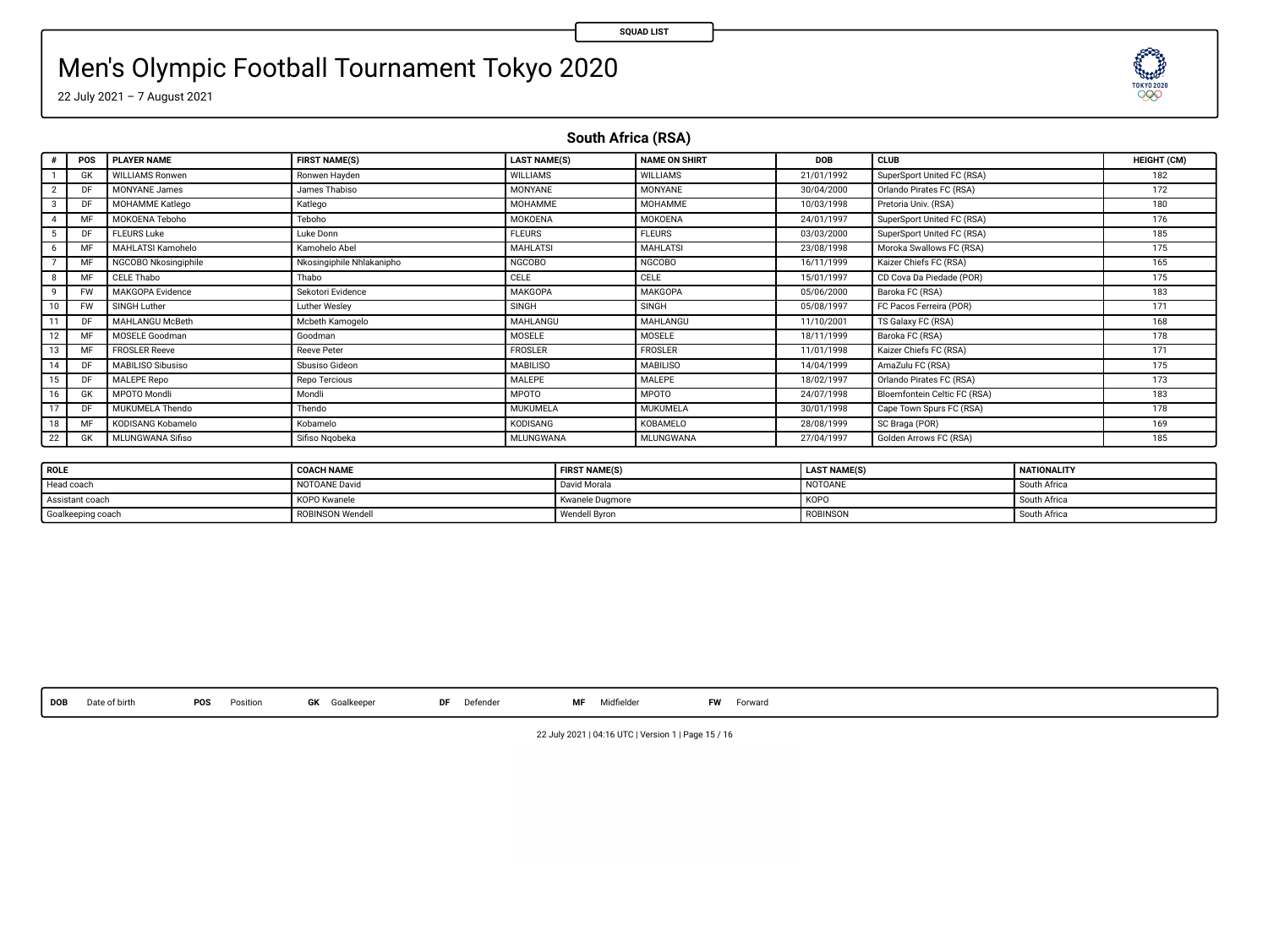### Men's Olympic Football Tournament Tokyo 2020

22 July 2021 – 7 August 2021

**South Africa (RSA)**

|    | POS       | <b>PLAYER NAME</b>       | <b>FIRST NAME(S)</b>      | <b>LAST NAME(S)</b> | <b>NAME ON SHIRT</b> | <b>DOB</b> | CLUB                         | HEIGHT (CM) |
|----|-----------|--------------------------|---------------------------|---------------------|----------------------|------------|------------------------------|-------------|
|    | <b>GK</b> | <b>WILLIAMS Ronwen</b>   | Ronwen Hayden             | <b>WILLIAMS</b>     | <b>WILLIAMS</b>      | 21/01/1992 | SuperSport United FC (RSA)   | 182         |
|    | DF        | <b>MONYANE James</b>     | James Thabiso             | <b>MONYANE</b>      | <b>MONYANE</b>       | 30/04/2000 | Orlando Pirates FC (RSA)     | 172         |
| 3  | DF        | MOHAMME Katlego          | Katlego                   | <b>MOHAMME</b>      | MOHAMME              | 10/03/1998 | Pretoria Univ. (RSA)         | 180         |
| 4  | MF        | MOKOENA Teboho           | Teboho                    | MOKOENA             | MOKOENA              | 24/01/1997 | SuperSport United FC (RSA)   | 176         |
| 5  | DF        | <b>FLEURS Luke</b>       | Luke Donn                 | <b>FLEURS</b>       | <b>FLEURS</b>        | 03/03/2000 | SuperSport United FC (RSA)   | 185         |
| 6  | MF        | <b>MAHLATSI Kamohelo</b> | Kamohelo Abel             | <b>MAHLATSI</b>     | <b>MAHLATSI</b>      | 23/08/1998 | Moroka Swallows FC (RSA)     | 175         |
|    | MF        | NGCOBO Nkosingiphile     | Nkosingiphile Nhlakanipho | <b>NGCOBO</b>       | <b>NGCOBO</b>        | 16/11/1999 | Kaizer Chiefs FC (RSA)       | 165         |
| 8  | MF        | CELE Thabo               | Thabo                     | CELE                | CELE                 | 15/01/1997 | CD Cova Da Piedade (POR)     | 175         |
| ۹  | <b>FW</b> | MAKGOPA Evidence         | Sekotori Evidence         | MAKGOPA             | MAKGOPA              | 05/06/2000 | Baroka FC (RSA)              | 183         |
| 10 | <b>FW</b> | SINGH Luther             | Luther Wesley             | SINGH               | SINGH                | 05/08/1997 | FC Pacos Ferreira (POR)      | 171         |
| 11 | DF        | <b>MAHLANGU McBeth</b>   | Mcbeth Kamogelo           | MAHLANGU            | MAHLANGU             | 11/10/2001 | TS Galaxy FC (RSA)           | 168         |
| 12 | MF        | MOSELE Goodman           | Goodman                   | MOSELE              | MOSELE               | 18/11/1999 | Baroka FC (RSA)              | 178         |
| 13 | MF        | <b>FROSLER Reeve</b>     | <b>Reeve Peter</b>        | <b>FROSLER</b>      | FROSLER              | 11/01/1998 | Kaizer Chiefs FC (RSA)       | 171         |
| 14 | DF        | MABILISO Sibusiso        | Sbusiso Gideon            | <b>MABILISO</b>     | <b>MABILISO</b>      | 14/04/1999 | AmaZulu FC (RSA)             | 175         |
| 15 | DF        | MALEPE Repo              | Repo Tercious             | MALEPE              | MALEPE               | 18/02/1997 | Orlando Pirates FC (RSA)     | 173         |
| 16 | <b>GK</b> | <b>MPOTO Mondii</b>      | Mondli                    | <b>MPOTO</b>        | <b>MPOTO</b>         | 24/07/1998 | Bloemfontein Celtic FC (RSA) | 183         |
| 17 | DF        | MUKUMELA Thendo          | Thendo                    | MUKUMELA            | MUKUMELA             | 30/01/1998 | Cape Town Spurs FC (RSA)     | 178         |
| 18 | MF        | KODISANG Kobamelo        | Kobamelo                  | KODISANG            | KOBAMELO             | 28/08/1999 | SC Braga (POR)               | 169         |
| 22 | GK        | MLUNGWANA Sifiso         | Sifiso Noobeka            | <b>MLUNGWANA</b>    | MLUNGWANA            | 27/04/1997 | Golden Arrows FC (RSA)       | 185         |

| ROLE              | <b>COACH NAME</b> | <b>FIRST NAME(S)</b> | <b>LAST NAME(S)</b> | NATIONALITY  |
|-------------------|-------------------|----------------------|---------------------|--------------|
| Head coach        | NOTOANE David     | David Morala         | NOTOANE             | South Africa |
| Assistant coach   | KOPO Kwanele      | Kwanele Dugmore      | KOPO                | South Africa |
| Goalkeeping coach | ROBINSON Wendel   | Wendell Byron        | <b>ROBINSON</b>     | South Africa |

**DOB** Date of birth **POS** Position **GK** Goalkeeper **DF** Defender **MF** Midelder **FW** Forward

22 July 2021 | 04:16 UTC | Version 1 | Page 15 / 16